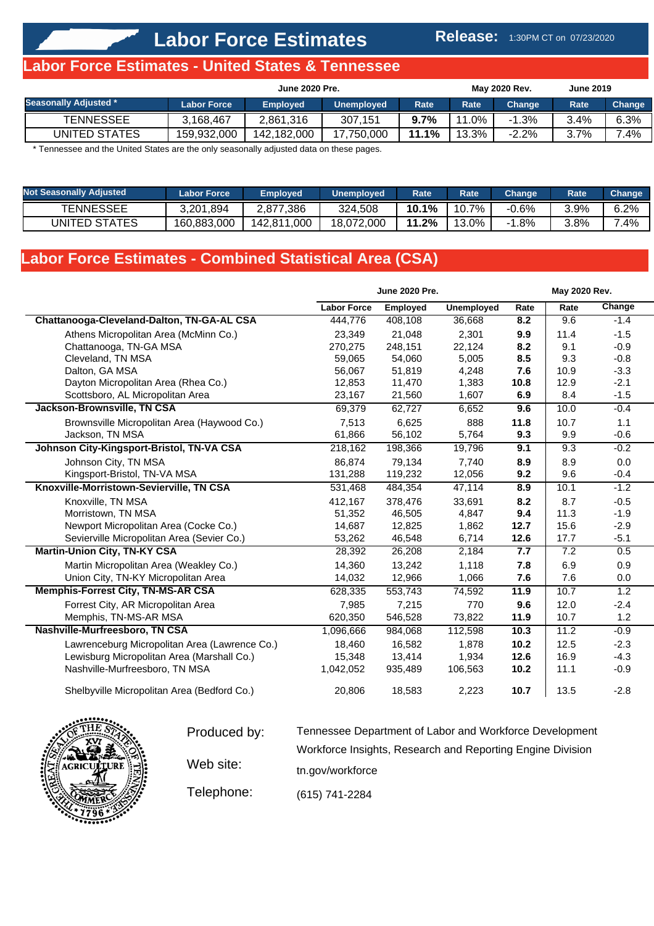## **Release:** 1:30PM CT on 07/23/2020

## **Labor Force Estimates - United States & Tennessee**

|                              | <b>June 2020 Pre.</b> |                 |                   |         |       | <b>May 2020 Rev.</b> | <b>June 2019</b> |        |
|------------------------------|-----------------------|-----------------|-------------------|---------|-------|----------------------|------------------|--------|
| <b>Seasonally Adjusted *</b> | <b>Labor Force</b>    | <b>Employed</b> | <b>Unemployed</b> | Rate    | Rate  | Change               | Rate             | Change |
| <b>TENNESSEE</b>             | 3.168.467             | 2.861.316       | 307.151           | $9.7\%$ | 11.0% | $-1.3%$              | 3.4%             | 6.3%   |
| UNITED STATES                | 159.932.000           | 142.182.000     | 17.750.000        | 11.1%   | 13.3% | $-2.2\%$             | 3.7%             | $.4\%$ |

\* Tennessee and the United States are the only seasonally adjusted data on these pages.

| <b>Not Seasonally Adjusted</b> | <b>Labor Force</b> | <b>Employed</b>   | Unemployed | Rate  | <b>Rate</b> | Change | Rate | <b>Change</b> |
|--------------------------------|--------------------|-------------------|------------|-------|-------------|--------|------|---------------|
| <b>TENNESSEE</b>               | 3,201,894          | 2.877.386         | 324.508    | 10.1% | 10.7%       | -0.6%  | 3.9% | 6.2%          |
| UNITED STATES                  | 160.883.000        | 1.000<br>142.811. | 18.072.000 | 11.2% | 13.0%       | 1.8%   | 3.8% | .4%           |

# **Labor Force Estimates - Combined Statistical Area (CSA)**

|                                               |                    | <b>June 2020 Pre.</b> |                   |      | May 2020 Rev. |        |
|-----------------------------------------------|--------------------|-----------------------|-------------------|------|---------------|--------|
|                                               | <b>Labor Force</b> | Employed              | <b>Unemployed</b> | Rate | Rate          | Change |
| Chattanooga-Cleveland-Dalton, TN-GA-AL CSA    | 444,776            | 408,108               | 36,668            | 8.2  | 9.6           | $-1.4$ |
| Athens Micropolitan Area (McMinn Co.)         | 23,349             | 21,048                | 2,301             | 9.9  | 11.4          | $-1.5$ |
| Chattanooga, TN-GA MSA                        | 270,275            | 248,151               | 22,124            | 8.2  | 9.1           | $-0.9$ |
| Cleveland, TN MSA                             | 59,065             | 54,060                | 5,005             | 8.5  | 9.3           | $-0.8$ |
| Dalton, GA MSA                                | 56,067             | 51,819                | 4,248             | 7.6  | 10.9          | $-3.3$ |
| Dayton Micropolitan Area (Rhea Co.)           | 12,853             | 11,470                | 1,383             | 10.8 | 12.9          | $-2.1$ |
| Scottsboro, AL Micropolitan Area              | 23,167             | 21,560                | 1,607             | 6.9  | 8.4           | $-1.5$ |
| Jackson-Brownsville, TN CSA                   | 69,379             | 62,727                | 6,652             | 9.6  | 10.0          | $-0.4$ |
| Brownsville Micropolitan Area (Haywood Co.)   | 7,513              | 6,625                 | 888               | 11.8 | 10.7          | 1.1    |
| Jackson, TN MSA                               | 61,866             | 56,102                | 5,764             | 9.3  | 9.9           | $-0.6$ |
| Johnson City-Kingsport-Bristol, TN-VA CSA     | 218,162            | 198,366               | 19,796            | 9.1  | 9.3           | $-0.2$ |
| Johnson City, TN MSA                          | 86,874             | 79,134                | 7.740             | 8.9  | 8.9           | 0.0    |
| Kingsport-Bristol, TN-VA MSA                  | 131,288            | 119,232               | 12,056            | 9.2  | 9.6           | $-0.4$ |
| Knoxville-Morristown-Sevierville, TN CSA      | 531,468            | 484,354               | 47,114            | 8.9  | 10.1          | $-1.2$ |
| Knoxville, TN MSA                             | 412,167            | 378,476               | 33,691            | 8.2  | 8.7           | $-0.5$ |
| Morristown, TN MSA                            | 51,352             | 46,505                | 4,847             | 9.4  | 11.3          | $-1.9$ |
| Newport Micropolitan Area (Cocke Co.)         | 14,687             | 12,825                | 1,862             | 12.7 | 15.6          | $-2.9$ |
| Sevierville Micropolitan Area (Sevier Co.)    | 53,262             | 46,548                | 6,714             | 12.6 | 17.7          | $-5.1$ |
| <b>Martin-Union City, TN-KY CSA</b>           | 28,392             | 26,208                | 2,184             | 7.7  | 7.2           | 0.5    |
| Martin Micropolitan Area (Weakley Co.)        | 14,360             | 13,242                | 1,118             | 7.8  | 6.9           | 0.9    |
| Union City, TN-KY Micropolitan Area           | 14,032             | 12,966                | 1,066             | 7.6  | 7.6           | 0.0    |
| <b>Memphis-Forrest City, TN-MS-AR CSA</b>     | 628,335            | 553,743               | 74,592            | 11.9 | 10.7          | 1.2    |
| Forrest City, AR Micropolitan Area            | 7,985              | 7,215                 | 770               | 9.6  | 12.0          | $-2.4$ |
| Memphis, TN-MS-AR MSA                         | 620,350            | 546,528               | 73,822            | 11.9 | 10.7          | 1.2    |
| Nashville-Murfreesboro, TN CSA                | 1,096,666          | 984,068               | 112,598           | 10.3 | 11.2          | $-0.9$ |
| Lawrenceburg Micropolitan Area (Lawrence Co.) | 18.460             | 16.582                | 1.878             | 10.2 | 12.5          | $-2.3$ |
| Lewisburg Micropolitan Area (Marshall Co.)    | 15,348             | 13,414                | 1,934             | 12.6 | 16.9          | $-4.3$ |
| Nashville-Murfreesboro, TN MSA                | 1,042,052          | 935,489               | 106,563           | 10.2 | 11.1          | $-0.9$ |
| Shelbyville Micropolitan Area (Bedford Co.)   | 20,806             | 18,583                | 2,223             | 10.7 | 13.5          | $-2.8$ |



Produced by: Web site: Telephone: Tennessee Department of Labor and Workforce Development Workforce Insights, Research and Reporting Engine Division tn.gov/workforce (615) 741-2284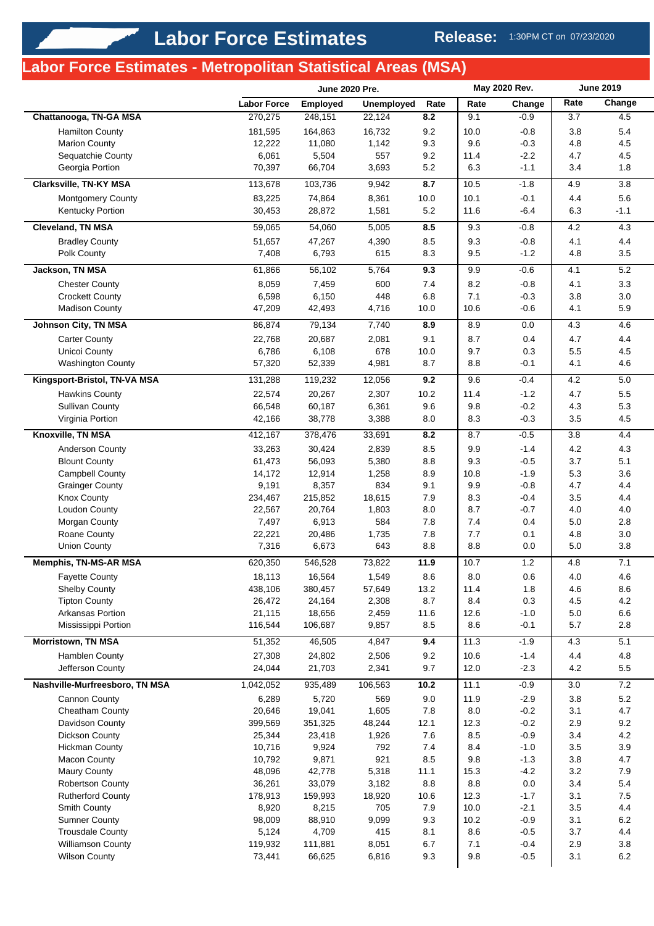# **Labor Force Estimates - Metropolitan Statistical Areas (MSA)**

|                                                 |                    | <b>June 2020 Pre.</b> |                   | May 2020 Rev. |             | <b>June 2019</b> |            |            |
|-------------------------------------------------|--------------------|-----------------------|-------------------|---------------|-------------|------------------|------------|------------|
|                                                 | <b>Labor Force</b> | <b>Employed</b>       | <b>Unemployed</b> | Rate          | Rate        | Change           | Rate       | Change     |
| Chattanooga, TN-GA MSA                          | 270,275            | 248,151               | 22,124            | 8.2           | 9.1         | $-0.9$           | 3.7        | 4.5        |
| <b>Hamilton County</b>                          | 181,595            | 164,863               | 16,732            | 9.2           | 10.0        | $-0.8$           | 3.8        | 5.4        |
| <b>Marion County</b>                            | 12,222             | 11,080                | 1,142             | 9.3           | 9.6         | $-0.3$           | 4.8        | 4.5        |
| Sequatchie County                               | 6,061              | 5,504                 | 557               | 9.2           | 11.4        | $-2.2$           | 4.7        | 4.5        |
| Georgia Portion                                 | 70,397             | 66,704                | 3,693             | 5.2           | 6.3         | $-1.1$           | 3.4        | 1.8        |
| Clarksville, TN-KY MSA                          | 113,678            | 103,736               | 9,942             | 8.7           | 10.5        | $-1.8$           | 4.9        | $3.8\,$    |
| <b>Montgomery County</b>                        | 83,225             | 74,864                | 8,361             | 10.0          | 10.1        | $-0.1$           | 4.4        | 5.6        |
| Kentucky Portion                                | 30,453             | 28,872                | 1,581             | $5.2\,$       | 11.6        | $-6.4$           | 6.3        | $-1.1$     |
| <b>Cleveland, TN MSA</b>                        | 59,065             | 54,060                | 5,005             | 8.5           | 9.3         | $-0.8$           | 4.2        | 4.3        |
| <b>Bradley County</b>                           | 51,657             | 47,267                | 4,390             | 8.5           | 9.3         | $-0.8$           | 4.1        | 4.4        |
| Polk County                                     | 7,408              | 6,793                 | 615               | 8.3           | 9.5         | $-1.2$           | 4.8        | 3.5        |
| <b>Jackson, TN MSA</b>                          | 61,866             | 56,102                | 5,764             | 9.3           | 9.9         | $-0.6$           | 4.1        | 5.2        |
| <b>Chester County</b>                           | 8,059              | 7,459                 | 600               | 7.4           | 8.2         | $-0.8$           | 4.1        | 3.3        |
| <b>Crockett County</b>                          | 6,598              | 6,150                 | 448               | 6.8           | 7.1         | $-0.3$           | 3.8        | 3.0        |
| <b>Madison County</b>                           | 47,209             | 42,493                | 4,716             | 10.0          | 10.6        | $-0.6$           | 4.1        | 5.9        |
| <b>Johnson City, TN MSA</b>                     | 86,874             | 79,134                | 7,740             | 8.9           | 8.9         | 0.0              | 4.3        | 4.6        |
| <b>Carter County</b>                            | 22,768             | 20,687                | 2,081             | 9.1           | 8.7         | 0.4              | 4.7        | 4.4        |
| Unicoi County                                   | 6,786              | 6,108                 | 678               | 10.0          | 9.7         | 0.3              | 5.5        | 4.5        |
| <b>Washington County</b>                        | 57,320             | 52,339                | 4,981             | 8.7           | 8.8         | $-0.1$           | 4.1        | 4.6        |
| Kingsport-Bristol, TN-VA MSA                    | 131,288            | 119,232               | 12,056            | 9.2           | 9.6         | $-0.4$           | 4.2        | 5.0        |
|                                                 |                    |                       |                   |               |             |                  |            |            |
| <b>Hawkins County</b><br><b>Sullivan County</b> | 22,574<br>66,548   | 20,267<br>60,187      | 2,307<br>6,361    | 10.2<br>9.6   | 11.4<br>9.8 | $-1.2$<br>$-0.2$ | 4.7<br>4.3 | 5.5<br>5.3 |
| Virginia Portion                                | 42,166             | 38,778                | 3,388             | 8.0           | 8.3         | $-0.3$           | 3.5        | 4.5        |
| Knoxville, TN MSA                               | 412,167            | 378,476               | 33,691            | 8.2           | 8.7         | $-0.5$           | 3.8        | 4.4        |
|                                                 |                    |                       |                   |               |             |                  |            |            |
| Anderson County                                 | 33,263             | 30,424                | 2,839             | 8.5           | 9.9<br>9.3  | $-1.4$           | 4.2        | 4.3        |
| <b>Blount County</b><br><b>Campbell County</b>  | 61,473<br>14,172   | 56,093<br>12,914      | 5,380<br>1,258    | 8.8<br>8.9    | 10.8        | $-0.5$<br>$-1.9$ | 3.7<br>5.3 | 5.1<br>3.6 |
| <b>Grainger County</b>                          | 9,191              | 8,357                 | 834               | 9.1           | 9.9         | $-0.8$           | 4.7        | 4.4        |
| <b>Knox County</b>                              | 234,467            | 215,852               | 18,615            | 7.9           | 8.3         | $-0.4$           | 3.5        | 4.4        |
| <b>Loudon County</b>                            | 22,567             | 20,764                | 1,803             | 8.0           | 8.7         | $-0.7$           | 4.0        | 4.0        |
| Morgan County                                   | 7,497              | 6,913                 | 584               | 7.8           | 7.4         | 0.4              | $5.0\,$    | 2.8        |
| Roane County                                    | 22,221             | 20,486                | 1,735             | 7.8           | 7.7         | 0.1              | 4.8        | 3.0        |
| <b>Union County</b>                             | 7,316              | 6,673                 | 643               | 8.8           | 8.8         | 0.0              | 5.0        | 3.8        |
| <b>Memphis, TN-MS-AR MSA</b>                    | 620,350            | 546,528               | 73,822            | 11.9          | 10.7        | $1.2$            | 4.8        | 7.1        |
| Fayette County                                  | 18,113             | 16,564                | 1,549             | 8.6           | $8.0\,$     | $0.6\,$          | $4.0\,$    | 4.6        |
| <b>Shelby County</b>                            | 438,106            | 380,457               | 57,649            | 13.2          | 11.4        | 1.8              | 4.6        | 8.6        |
| <b>Tipton County</b>                            | 26,472             | 24,164                | 2,308             | 8.7           | 8.4         | 0.3              | 4.5        | 4.2        |
| Arkansas Portion                                | 21,115             | 18,656                | 2,459             | 11.6          | 12.6        | $-1.0$           | 5.0        | $6.6\,$    |
| Mississippi Portion                             | 116,544            | 106,687               | 9,857             | 8.5           | 8.6         | $-0.1$           | 5.7        | 2.8        |
| <b>Morristown, TN MSA</b>                       | 51,352             | 46,505                | 4,847             | 9.4           | 11.3        | $-1.9$           | 4.3        | 5.1        |
| Hamblen County                                  | 27,308             | 24,802                | 2,506             | 9.2           | 10.6        | $-1.4$           | 4.4        | 4.8        |
| Jefferson County                                | 24,044             | 21,703                | 2,341             | 9.7           | 12.0        | $-2.3$           | 4.2        | $5.5\,$    |
| Nashville-Murfreesboro, TN MSA                  | 1,042,052          | 935,489               | 106,563           | 10.2          | 11.1        | $-0.9$           | 3.0        | 7.2        |
| Cannon County                                   | 6,289              | 5,720                 | 569               | 9.0           | 11.9        | $-2.9$           | 3.8        | 5.2        |
| Cheatham County                                 | 20,646             | 19,041                | 1,605             | 7.8           | 8.0         | $-0.2$           | 3.1        | 4.7        |
| Davidson County                                 | 399,569            | 351,325               | 48,244            | 12.1          | 12.3        | $-0.2$           | 2.9        | 9.2        |
| Dickson County                                  | 25,344             | 23,418                | 1,926             | 7.6           | 8.5         | $-0.9$           | 3.4        | 4.2        |
| <b>Hickman County</b>                           | 10,716             | 9,924                 | 792               | 7.4           | 8.4         | $-1.0$           | 3.5        | 3.9        |
| <b>Macon County</b>                             | 10,792             | 9,871                 | 921               | 8.5           | 9.8         | $-1.3$           | $3.8\,$    | 4.7        |
| <b>Maury County</b>                             | 48,096             | 42,778                | 5,318             | 11.1          | 15.3        | $-4.2$           | 3.2        | 7.9        |
| Robertson County                                | 36,261             | 33,079                | 3,182             | 8.8           | 8.8         | 0.0              | 3.4        | 5.4        |
| <b>Rutherford County</b>                        | 178,913            | 159,993               | 18,920            | 10.6          | 12.3        | $-1.7$           | 3.1        | 7.5        |
| Smith County                                    | 8,920              | 8,215                 | 705               | 7.9           | 10.0        | $-2.1$           | 3.5        | 4.4        |
| <b>Sumner County</b>                            | 98,009             | 88,910                | 9,099             | 9.3           | 10.2        | $-0.9$           | 3.1        | 6.2        |
| <b>Trousdale County</b>                         | 5,124              | 4,709                 | 415               | 8.1           | 8.6         | $-0.5$           | 3.7        | 4.4        |
| <b>Williamson County</b>                        | 119,932            | 111,881               | 8,051             | 6.7           | 7.1         | $-0.4$           | 2.9        | 3.8        |
| <b>Wilson County</b>                            | 73,441             | 66,625                | 6,816             | 9.3           | 9.8         | $-0.5$           | 3.1        | $6.2\,$    |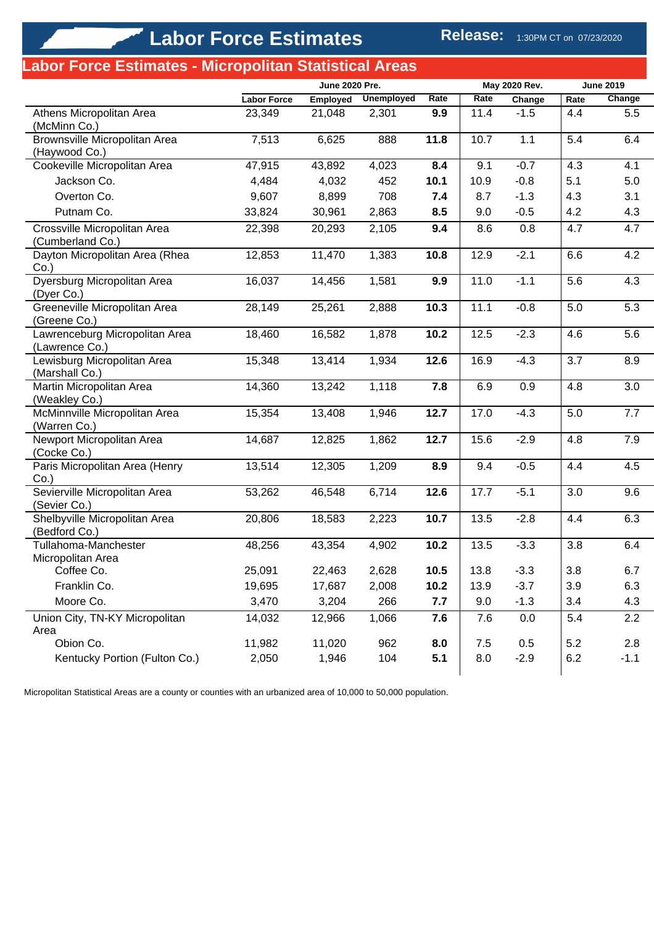|                                                  | June 2020 Pre.     |          |                   | May 2020 Rev. |      | <b>June 2019</b> |      |        |
|--------------------------------------------------|--------------------|----------|-------------------|---------------|------|------------------|------|--------|
|                                                  | <b>Labor Force</b> | Employed | <b>Unemployed</b> | Rate          | Rate | Change           | Rate | Change |
| Athens Micropolitan Area<br>(McMinn Co.)         | 23,349             | 21,048   | 2,301             | 9.9           | 11.4 | $-1.5$           | 4.4  | 5.5    |
| Brownsville Micropolitan Area<br>(Haywood Co.)   | 7,513              | 6,625    | 888               | 11.8          | 10.7 | 1.1              | 5.4  | 6.4    |
| Cookeville Micropolitan Area                     | 47,915             | 43,892   | 4,023             | 8.4           | 9.1  | $-0.7$           | 4.3  | 4.1    |
| Jackson Co.                                      | 4,484              | 4,032    | 452               | 10.1          | 10.9 | $-0.8$           | 5.1  | 5.0    |
| Overton Co.                                      | 9,607              | 8,899    | 708               | 7.4           | 8.7  | $-1.3$           | 4.3  | 3.1    |
| Putnam Co.                                       | 33,824             | 30,961   | 2,863             | 8.5           | 9.0  | $-0.5$           | 4.2  | 4.3    |
| Crossville Micropolitan Area<br>(Cumberland Co.) | 22,398             | 20,293   | 2,105             | 9.4           | 8.6  | 0.8              | 4.7  | 4.7    |
| Dayton Micropolitan Area (Rhea<br>$Co.$ )        | 12,853             | 11,470   | 1,383             | 10.8          | 12.9 | $-2.1$           | 6.6  | 4.2    |
| Dyersburg Micropolitan Area<br>(Dyer Co.)        | 16,037             | 14,456   | 1,581             | 9.9           | 11.0 | $-1.1$           | 5.6  | 4.3    |
| Greeneville Micropolitan Area<br>(Greene Co.)    | 28,149             | 25,261   | 2,888             | 10.3          | 11.1 | $-0.8$           | 5.0  | 5.3    |
| Lawrenceburg Micropolitan Area<br>(Lawrence Co.) | 18,460             | 16,582   | 1,878             | 10.2          | 12.5 | $-2.3$           | 4.6  | 5.6    |
| Lewisburg Micropolitan Area<br>(Marshall Co.)    | 15,348             | 13,414   | 1,934             | 12.6          | 16.9 | $-4.3$           | 3.7  | 8.9    |
| Martin Micropolitan Area<br>(Weakley Co.)        | 14,360             | 13,242   | 1,118             | 7.8           | 6.9  | 0.9              | 4.8  | 3.0    |
| McMinnville Micropolitan Area<br>(Warren Co.)    | 15,354             | 13,408   | 1,946             | 12.7          | 17.0 | $-4.3$           | 5.0  | 7.7    |
| Newport Micropolitan Area<br>(Cocke Co.)         | 14,687             | 12,825   | 1,862             | 12.7          | 15.6 | $-2.9$           | 4.8  | 7.9    |
| Paris Micropolitan Area (Henry<br>$Co.$ )        | 13,514             | 12,305   | 1,209             | 8.9           | 9.4  | $-0.5$           | 4.4  | 4.5    |
| Sevierville Micropolitan Area<br>(Sevier Co.)    | 53,262             | 46,548   | 6,714             | 12.6          | 17.7 | $-5.1$           | 3.0  | 9.6    |
| Shelbyville Micropolitan Area<br>(Bedford Co.)   | 20,806             | 18,583   | 2,223             | 10.7          | 13.5 | $-2.8$           | 4.4  | 6.3    |
| Tullahoma-Manchester<br>Micropolitan Area        | 48,256             | 43,354   | 4,902             | 10.2          | 13.5 | $-3.3$           | 3.8  | 6.4    |
| Coffee Co.                                       | 25,091             | 22,463   | 2,628             | 10.5          | 13.8 | $-3.3$           | 3.8  | 6.7    |
| Franklin Co.                                     | 19,695             | 17,687   | 2,008             | 10.2          | 13.9 | $-3.7$           | 3.9  | 6.3    |
| Moore Co.                                        | 3,470              | 3,204    | 266               | 7.7           | 9.0  | $-1.3$           | 3.4  | 4.3    |
| Union City, TN-KY Micropolitan<br>Area           | 14,032             | 12,966   | 1,066             | 7.6           | 7.6  | 0.0              | 5.4  | 2.2    |
| Obion Co.                                        | 11,982             | 11,020   | 962               | 8.0           | 7.5  | 0.5              | 5.2  | 2.8    |
| Kentucky Portion (Fulton Co.)                    | 2,050              | 1,946    | 104               | 5.1           | 8.0  | $-2.9$           | 6.2  | $-1.1$ |

Micropolitan Statistical Areas are a county or counties with an urbanized area of 10,000 to 50,000 population.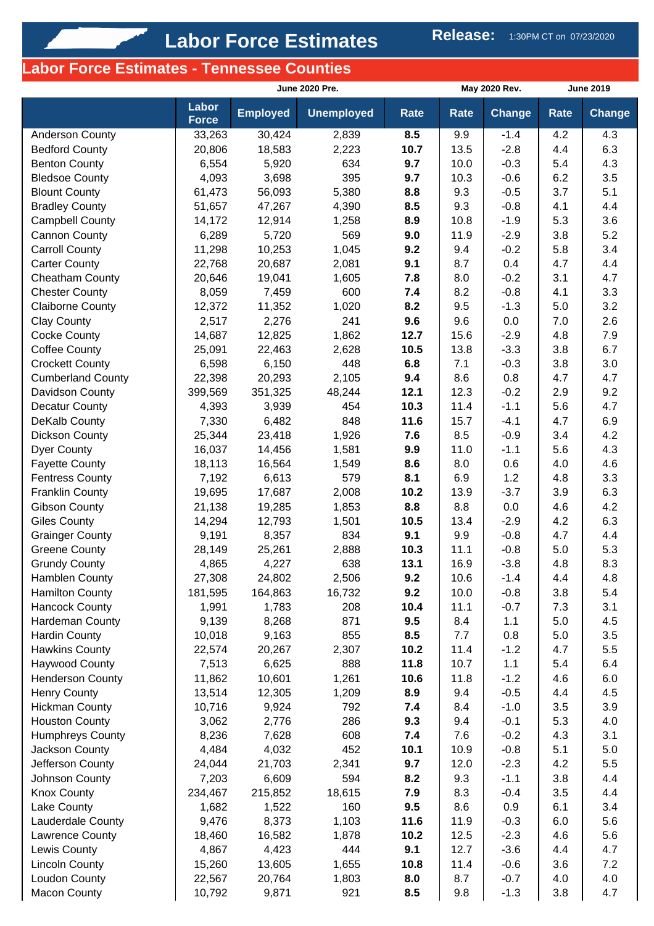# **Labor Force Estimates - Tennessee Counties**

|                                             |                       | June 2020 Pre.  |                   |             |             | May 2020 Rev. | <b>June 2019</b> |               |
|---------------------------------------------|-----------------------|-----------------|-------------------|-------------|-------------|---------------|------------------|---------------|
|                                             | Labor<br><b>Force</b> | <b>Employed</b> | <b>Unemployed</b> | Rate        | Rate        | <b>Change</b> | <b>Rate</b>      | <b>Change</b> |
| <b>Anderson County</b>                      | 33,263                | 30,424          | 2,839             | 8.5         | 9.9         | $-1.4$        | 4.2              | 4.3           |
| <b>Bedford County</b>                       | 20,806                | 18,583          | 2,223             | 10.7        | 13.5        | $-2.8$        | 4.4              | 6.3           |
| <b>Benton County</b>                        | 6,554                 | 5,920           | 634               | 9.7         | 10.0        | $-0.3$        | 5.4              | 4.3           |
| <b>Bledsoe County</b>                       | 4,093                 | 3,698           | 395               | 9.7         | 10.3        | $-0.6$        | 6.2              | 3.5           |
| <b>Blount County</b>                        | 61,473                | 56,093          | 5,380             | 8.8         | 9.3         | $-0.5$        | 3.7              | 5.1           |
| <b>Bradley County</b>                       | 51,657                | 47,267          | 4,390             | 8.5         | 9.3         | $-0.8$        | 4.1              | 4.4           |
| Campbell County                             | 14,172                | 12,914          | 1,258             | 8.9         | 10.8        | $-1.9$        | 5.3              | 3.6           |
| Cannon County                               | 6,289                 | 5,720           | 569               | 9.0         | 11.9        | $-2.9$        | 3.8              | 5.2           |
| <b>Carroll County</b>                       | 11,298                | 10,253          | 1,045             | 9.2         | 9.4         | $-0.2$        | 5.8              | 3.4           |
| <b>Carter County</b>                        | 22,768                | 20,687          | 2,081             | 9.1         | 8.7         | 0.4           | 4.7              | 4.4           |
| <b>Cheatham County</b>                      | 20,646                | 19,041          | 1,605             | 7.8         | 8.0         | $-0.2$        | 3.1              | 4.7           |
| <b>Chester County</b>                       | 8,059                 | 7,459           | 600               | 7.4         | 8.2         | $-0.8$        | 4.1              | 3.3           |
| <b>Claiborne County</b>                     | 12,372                | 11,352          | 1,020             | 8.2         | 9.5         | $-1.3$        | 5.0              | 3.2           |
| <b>Clay County</b>                          | 2,517                 | 2,276           | 241               | 9.6         | 9.6         | 0.0           | 7.0              | 2.6           |
| <b>Cocke County</b>                         | 14,687                | 12,825          | 1,862             | 12.7        | 15.6        | $-2.9$        | 4.8              | 7.9           |
| <b>Coffee County</b>                        | 25,091                | 22,463          | 2,628             | 10.5        | 13.8        | $-3.3$        | 3.8              | 6.7           |
| <b>Crockett County</b>                      | 6,598                 | 6,150           | 448               | 6.8         | 7.1         | $-0.3$        | 3.8              | 3.0           |
| <b>Cumberland County</b>                    | 22,398                | 20,293          | 2,105             | 9.4         | 8.6         | 0.8           | 4.7              | 4.7           |
| Davidson County                             | 399,569               | 351,325         | 48,244            | 12.1        | 12.3        | $-0.2$        | 2.9              | 9.2           |
| Decatur County                              | 4,393                 | 3,939           | 454               | 10.3        | 11.4        | $-1.1$        | 5.6              | 4.7           |
| DeKalb County                               | 7,330                 | 6,482           | 848               | 11.6        | 15.7        | $-4.1$        | 4.7              | 6.9           |
| <b>Dickson County</b>                       | 25,344                | 23,418          | 1,926             | 7.6         | 8.5         | $-0.9$        | 3.4              | 4.2           |
| <b>Dyer County</b>                          | 16,037                | 14,456          | 1,581             | 9.9         | 11.0        | $-1.1$        | 5.6              | 4.3           |
| <b>Fayette County</b>                       | 18,113                | 16,564          | 1,549             | 8.6         | 8.0         | 0.6           | 4.0              | 4.6           |
| <b>Fentress County</b>                      | 7,192                 | 6,613           | 579               | 8.1         | 6.9         | 1.2           | 4.8              | 3.3           |
| <b>Franklin County</b>                      | 19,695                | 17,687          | 2,008             | 10.2<br>8.8 | 13.9<br>8.8 | $-3.7$<br>0.0 | 3.9              | 6.3<br>4.2    |
| <b>Gibson County</b><br><b>Giles County</b> | 21,138<br>14,294      | 19,285          | 1,853<br>1,501    | 10.5        | 13.4        | $-2.9$        | 4.6<br>4.2       | 6.3           |
| <b>Grainger County</b>                      | 9,191                 | 12,793<br>8,357 | 834               | 9.1         | 9.9         | $-0.8$        | 4.7              | 4.4           |
| <b>Greene County</b>                        | 28,149                | 25,261          | 2,888             | 10.3        | 11.1        | $-0.8$        | 5.0              | 5.3           |
| <b>Grundy County</b>                        | 4,865                 | 4,227           | 638               | 13.1        | 16.9        | $-3.8$        | 4.8              | 8.3           |
| <b>Hamblen County</b>                       | 27,308                | 24,802          | 2,506             | 9.2         | 10.6        | $-1.4$        | 4.4              | 4.8           |
| <b>Hamilton County</b>                      | 181,595               | 164,863         | 16,732            | 9.2         | 10.0        | $-0.8$        | 3.8              | 5.4           |
| <b>Hancock County</b>                       | 1,991                 | 1,783           | 208               | 10.4        | 11.1        | $-0.7$        | 7.3              | 3.1           |
| Hardeman County                             | 9,139                 | 8,268           | 871               | 9.5         | 8.4         | 1.1           | 5.0              | 4.5           |
| <b>Hardin County</b>                        | 10,018                | 9,163           | 855               | 8.5         | 7.7         | 0.8           | 5.0              | 3.5           |
| <b>Hawkins County</b>                       | 22,574                | 20,267          | 2,307             | 10.2        | 11.4        | $-1.2$        | 4.7              | 5.5           |
| <b>Haywood County</b>                       | 7,513                 | 6,625           | 888               | 11.8        | 10.7        | $1.1$         | 5.4              | 6.4           |
| <b>Henderson County</b>                     | 11,862                | 10,601          | 1,261             | 10.6        | 11.8        | $-1.2$        | 4.6              | 6.0           |
| Henry County                                | 13,514                | 12,305          | 1,209             | 8.9         | 9.4         | $-0.5$        | 4.4              | 4.5           |
| <b>Hickman County</b>                       | 10,716                | 9,924           | 792               | 7.4         | 8.4         | $-1.0$        | 3.5              | 3.9           |
| <b>Houston County</b>                       | 3,062                 | 2,776           | 286               | 9.3         | 9.4         | $-0.1$        | 5.3              | 4.0           |
| Humphreys County                            | 8,236                 | 7,628           | 608               | 7.4         | 7.6         | $-0.2$        | 4.3              | 3.1           |
| Jackson County                              | 4,484                 | 4,032           | 452               | 10.1        | 10.9        | $-0.8$        | 5.1              | 5.0           |
| Jefferson County                            | 24,044                | 21,703          | 2,341             | 9.7         | 12.0        | $-2.3$        | 4.2              | 5.5           |
| Johnson County                              | 7,203                 | 6,609           | 594               | 8.2         | 9.3         | $-1.1$        | 3.8              | 4.4           |
| <b>Knox County</b>                          | 234,467               | 215,852         | 18,615            | 7.9         | 8.3         | $-0.4$        | 3.5              | 4.4           |
| Lake County                                 | 1,682                 | 1,522           | 160               | 9.5         | 8.6         | 0.9           | 6.1              | 3.4           |
| Lauderdale County                           | 9,476                 | 8,373           | 1,103             | 11.6        | 11.9        | $-0.3$        | 6.0              | 5.6           |
| Lawrence County                             | 18,460                | 16,582          | 1,878             | 10.2        | 12.5        | $-2.3$        | 4.6              | 5.6           |
| Lewis County                                | 4,867                 | 4,423           | 444               | 9.1         | 12.7        | $-3.6$        | 4.4              | 4.7           |
| <b>Lincoln County</b>                       | 15,260                | 13,605          | 1,655             | 10.8        | 11.4        | $-0.6$        | 3.6              | 7.2           |
| Loudon County                               | 22,567                | 20,764          | 1,803             | 8.0         | 8.7         | $-0.7$        | 4.0              | 4.0           |
| <b>Macon County</b>                         | 10,792                | 9,871           | 921               | 8.5         | 9.8         | $-1.3$        | 3.8              | 4.7           |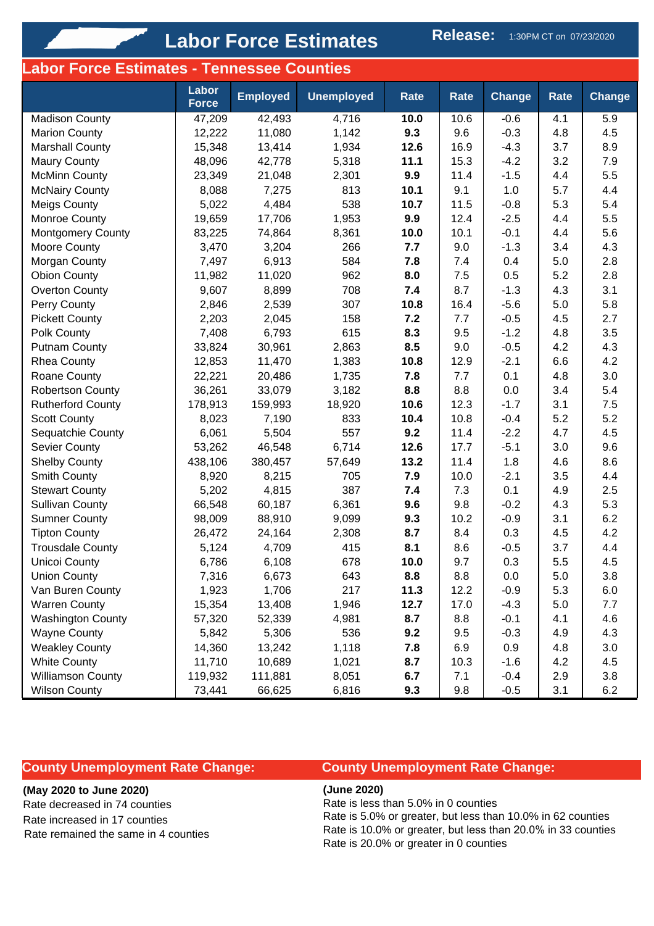# **Labor Force Estimates** Release: 1:30PM CT on 07/23/2020

# **Labor Force Estimates - Tennessee Counties**

|                          | Labor<br><b>Force</b> | <b>Employed</b> | <b>Unemployed</b> | <b>Rate</b> | <b>Rate</b> | <b>Change</b> | Rate | <b>Change</b> |
|--------------------------|-----------------------|-----------------|-------------------|-------------|-------------|---------------|------|---------------|
| <b>Madison County</b>    | 47,209                | 42,493          | 4,716             | 10.0        | 10.6        | $-0.6$        | 4.1  | 5.9           |
| <b>Marion County</b>     | 12,222                | 11,080          | 1,142             | 9.3         | 9.6         | $-0.3$        | 4.8  | 4.5           |
| <b>Marshall County</b>   | 15,348                | 13,414          | 1,934             | 12.6        | 16.9        | $-4.3$        | 3.7  | 8.9           |
| <b>Maury County</b>      | 48,096                | 42,778          | 5,318             | 11.1        | 15.3        | $-4.2$        | 3.2  | 7.9           |
| <b>McMinn County</b>     | 23,349                | 21,048          | 2,301             | 9.9         | 11.4        | $-1.5$        | 4.4  | 5.5           |
| <b>McNairy County</b>    | 8,088                 | 7,275           | 813               | 10.1        | 9.1         | 1.0           | 5.7  | 4.4           |
| <b>Meigs County</b>      | 5,022                 | 4,484           | 538               | 10.7        | 11.5        | $-0.8$        | 5.3  | 5.4           |
| Monroe County            | 19,659                | 17,706          | 1,953             | 9.9         | 12.4        | $-2.5$        | 4.4  | 5.5           |
| <b>Montgomery County</b> | 83,225                | 74,864          | 8,361             | 10.0        | 10.1        | $-0.1$        | 4.4  | 5.6           |
| Moore County             | 3,470                 | 3,204           | 266               | 7.7         | 9.0         | $-1.3$        | 3.4  | 4.3           |
| Morgan County            | 7,497                 | 6,913           | 584               | 7.8         | 7.4         | 0.4           | 5.0  | 2.8           |
| <b>Obion County</b>      | 11,982                | 11,020          | 962               | 8.0         | 7.5         | 0.5           | 5.2  | 2.8           |
| <b>Overton County</b>    | 9,607                 | 8,899           | 708               | 7.4         | 8.7         | $-1.3$        | 4.3  | 3.1           |
| Perry County             | 2,846                 | 2,539           | 307               | 10.8        | 16.4        | $-5.6$        | 5.0  | 5.8           |
| <b>Pickett County</b>    | 2,203                 | 2,045           | 158               | 7.2         | 7.7         | $-0.5$        | 4.5  | 2.7           |
| Polk County              | 7,408                 | 6,793           | 615               | 8.3         | 9.5         | $-1.2$        | 4.8  | 3.5           |
| <b>Putnam County</b>     | 33,824                | 30,961          | 2,863             | 8.5         | 9.0         | $-0.5$        | 4.2  | 4.3           |
| <b>Rhea County</b>       | 12,853                | 11,470          | 1,383             | 10.8        | 12.9        | $-2.1$        | 6.6  | 4.2           |
| Roane County             | 22,221                | 20,486          | 1,735             | 7.8         | 7.7         | 0.1           | 4.8  | 3.0           |
| <b>Robertson County</b>  | 36,261                | 33,079          | 3,182             | 8.8         | 8.8         | 0.0           | 3.4  | 5.4           |
| <b>Rutherford County</b> | 178,913               | 159,993         | 18,920            | 10.6        | 12.3        | $-1.7$        | 3.1  | 7.5           |
| <b>Scott County</b>      | 8,023                 | 7,190           | 833               | 10.4        | 10.8        | $-0.4$        | 5.2  | 5.2           |
| Sequatchie County        | 6,061                 | 5,504           | 557               | 9.2         | 11.4        | $-2.2$        | 4.7  | 4.5           |
| Sevier County            | 53,262                | 46,548          | 6,714             | 12.6        | 17.7        | $-5.1$        | 3.0  | 9.6           |
| <b>Shelby County</b>     | 438,106               | 380,457         | 57,649            | 13.2        | 11.4        | 1.8           | 4.6  | 8.6           |
| Smith County             | 8,920                 | 8,215           | 705               | 7.9         | 10.0        | $-2.1$        | 3.5  | 4.4           |
| <b>Stewart County</b>    | 5,202                 | 4,815           | 387               | 7.4         | 7.3         | 0.1           | 4.9  | 2.5           |
| <b>Sullivan County</b>   | 66,548                | 60,187          | 6,361             | 9.6         | 9.8         | $-0.2$        | 4.3  | 5.3           |
| <b>Sumner County</b>     | 98,009                | 88,910          | 9,099             | 9.3         | 10.2        | $-0.9$        | 3.1  | 6.2           |
| <b>Tipton County</b>     | 26,472                | 24,164          | 2,308             | 8.7         | 8.4         | 0.3           | 4.5  | 4.2           |
| <b>Trousdale County</b>  | 5,124                 | 4,709           | 415               | 8.1         | 8.6         | $-0.5$        | 3.7  | 4.4           |
| <b>Unicoi County</b>     | 6,786                 | 6,108           | 678               | 10.0        | 9.7         | 0.3           | 5.5  | 4.5           |
| Union County             | 7,316                 | 6,673           | 643               | 8.8         | 8.8         | 0.0           | 5.0  | 3.8           |
| Van Buren County         | 1,923                 | 1,706           | 217               | 11.3        | 12.2        | $-0.9$        | 5.3  | 6.0           |
| <b>Warren County</b>     | 15,354                | 13,408          | 1,946             | 12.7        | 17.0        | $-4.3$        | 5.0  | 7.7           |
| <b>Washington County</b> | 57,320                | 52,339          | 4,981             | 8.7         | 8.8         | $-0.1$        | 4.1  | 4.6           |
| <b>Wayne County</b>      | 5,842                 | 5,306           | 536               | 9.2         | 9.5         | $-0.3$        | 4.9  | 4.3           |
| <b>Weakley County</b>    | 14,360                | 13,242          | 1,118             | 7.8         | 6.9         | 0.9           | 4.8  | 3.0           |
| <b>White County</b>      | 11,710                | 10,689          | 1,021             | 8.7         | 10.3        | $-1.6$        | 4.2  | 4.5           |
| <b>Williamson County</b> | 119,932               | 111,881         | 8,051             | 6.7         | 7.1         | $-0.4$        | 2.9  | 3.8           |
| <b>Wilson County</b>     | 73,441                | 66,625          | 6,816             | 9.3         | 9.8         | $-0.5$        | 3.1  | 6.2           |

## **County Unemployment Rate Change:**

#### **(May 2020 to June 2020)**

Rate decreased in 74 counties Rate increased in 17 counties Rate remained the same in 4 counties

# **County Unemployment Rate Change:**

**(June 2020)**

Rate is less than 5.0% in 0 counties Rate is 5.0% or greater, but less than 10.0% in 62 counties Rate is 10.0% or greater, but less than 20.0% in 33 counties Rate is 20.0% or greater in 0 counties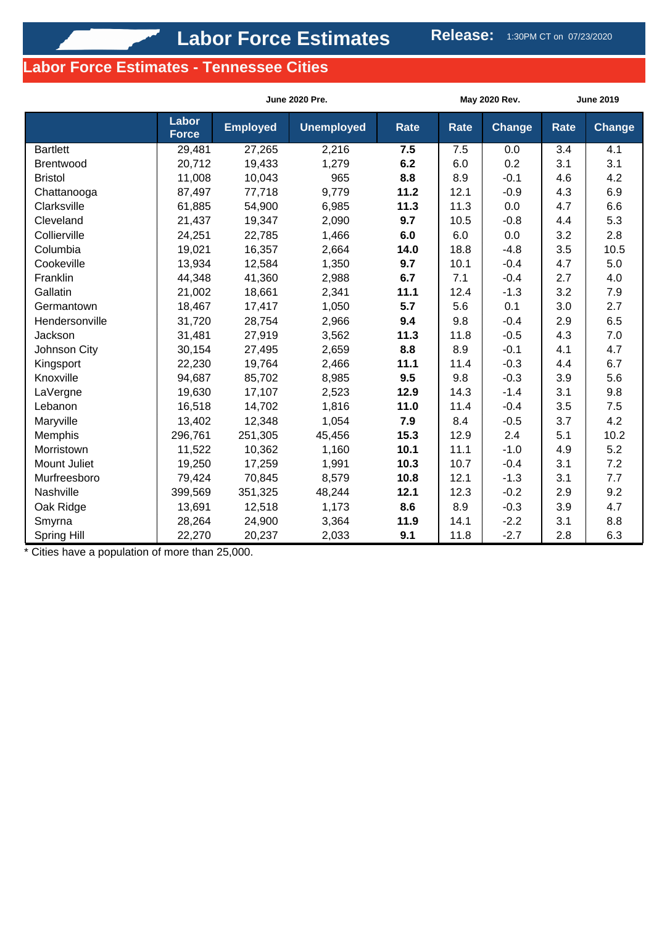# **Labor Force Estimates - Tennessee Cities**

|                 |                       | <b>June 2020 Pre.</b> |                   |             |      | May 2020 Rev. | <b>June 2019</b> |        |
|-----------------|-----------------------|-----------------------|-------------------|-------------|------|---------------|------------------|--------|
|                 | Labor<br><b>Force</b> | <b>Employed</b>       | <b>Unemployed</b> | <b>Rate</b> | Rate | <b>Change</b> | <b>Rate</b>      | Change |
| <b>Bartlett</b> | 29,481                | 27,265                | 2,216             | 7.5         | 7.5  | 0.0           | 3.4              | 4.1    |
| Brentwood       | 20,712                | 19,433                | 1,279             | 6.2         | 6.0  | 0.2           | 3.1              | 3.1    |
| <b>Bristol</b>  | 11,008                | 10,043                | 965               | 8.8         | 8.9  | $-0.1$        | 4.6              | 4.2    |
| Chattanooga     | 87,497                | 77,718                | 9,779             | 11.2        | 12.1 | $-0.9$        | 4.3              | 6.9    |
| Clarksville     | 61,885                | 54,900                | 6,985             | 11.3        | 11.3 | 0.0           | 4.7              | 6.6    |
| Cleveland       | 21,437                | 19,347                | 2,090             | 9.7         | 10.5 | $-0.8$        | 4.4              | 5.3    |
| Collierville    | 24,251                | 22,785                | 1,466             | 6.0         | 6.0  | 0.0           | 3.2              | 2.8    |
| Columbia        | 19,021                | 16,357                | 2,664             | 14.0        | 18.8 | $-4.8$        | 3.5              | 10.5   |
| Cookeville      | 13,934                | 12,584                | 1,350             | 9.7         | 10.1 | $-0.4$        | 4.7              | 5.0    |
| Franklin        | 44,348                | 41,360                | 2,988             | 6.7         | 7.1  | $-0.4$        | 2.7              | 4.0    |
| Gallatin        | 21,002                | 18,661                | 2,341             | 11.1        | 12.4 | $-1.3$        | 3.2              | 7.9    |
| Germantown      | 18,467                | 17,417                | 1,050             | 5.7         | 5.6  | 0.1           | 3.0              | 2.7    |
| Hendersonville  | 31,720                | 28,754                | 2,966             | 9.4         | 9.8  | $-0.4$        | 2.9              | 6.5    |
| Jackson         | 31,481                | 27,919                | 3,562             | 11.3        | 11.8 | $-0.5$        | 4.3              | 7.0    |
| Johnson City    | 30,154                | 27,495                | 2,659             | 8.8         | 8.9  | $-0.1$        | 4.1              | 4.7    |
| Kingsport       | 22,230                | 19,764                | 2,466             | 11.1        | 11.4 | $-0.3$        | 4.4              | 6.7    |
| Knoxville       | 94,687                | 85,702                | 8,985             | 9.5         | 9.8  | $-0.3$        | 3.9              | 5.6    |
| LaVergne        | 19,630                | 17,107                | 2,523             | 12.9        | 14.3 | $-1.4$        | 3.1              | 9.8    |
| Lebanon         | 16,518                | 14,702                | 1,816             | 11.0        | 11.4 | $-0.4$        | 3.5              | 7.5    |
| Maryville       | 13,402                | 12,348                | 1,054             | 7.9         | 8.4  | $-0.5$        | 3.7              | 4.2    |
| Memphis         | 296,761               | 251,305               | 45,456            | 15.3        | 12.9 | 2.4           | 5.1              | 10.2   |
| Morristown      | 11,522                | 10,362                | 1,160             | 10.1        | 11.1 | $-1.0$        | 4.9              | 5.2    |
| Mount Juliet    | 19,250                | 17,259                | 1,991             | 10.3        | 10.7 | $-0.4$        | 3.1              | 7.2    |
| Murfreesboro    | 79,424                | 70,845                | 8,579             | 10.8        | 12.1 | $-1.3$        | 3.1              | 7.7    |
| Nashville       | 399,569               | 351,325               | 48,244            | 12.1        | 12.3 | $-0.2$        | 2.9              | 9.2    |
| Oak Ridge       | 13,691                | 12,518                | 1,173             | 8.6         | 8.9  | $-0.3$        | 3.9              | 4.7    |
| Smyrna          | 28,264                | 24,900                | 3,364             | 11.9        | 14.1 | $-2.2$        | 3.1              | 8.8    |
| Spring Hill     | 22,270                | 20,237                | 2,033             | 9.1         | 11.8 | $-2.7$        | 2.8              | 6.3    |

\* Cities have a population of more than 25,000.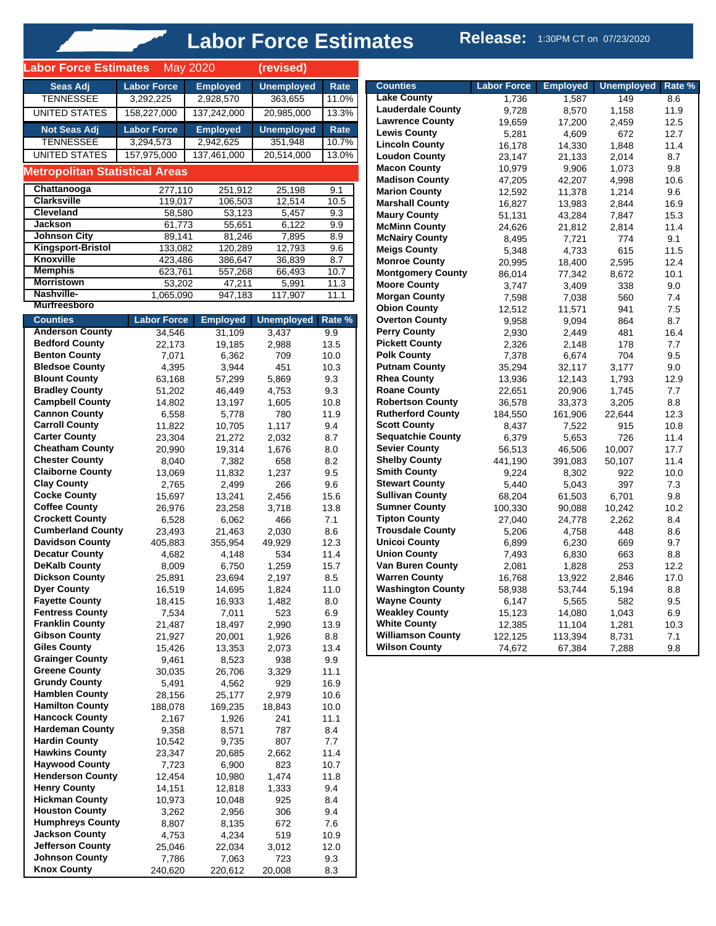# **Labor Force Estimates** Release: 1:30PM CT on 07/23/2020

| Seas Adj<br><b>Employed</b><br><b>Unemployed</b><br><b>Labor Force</b><br>Rate<br><b>TENNESSEE</b><br>363,655<br>3,292,225<br>2,928,570<br>11.0%<br><b>UNITED STATES</b><br>158,227,000<br>137,242,000<br>13.3%<br>20,985,000<br><b>Labor Force</b><br><b>Not Seas Adj</b><br><b>Employed</b><br><b>Unemployed</b><br>Rate<br><b>TENNESSEE</b><br>3,294,573<br>2,942,625<br>351,948<br>10.7%<br><b>UNITED STATES</b><br>157,975,000<br>137,461,000<br>20,514,000<br>13.0%<br><b>Metropolitan Statistical Areas</b><br>Chattanooga<br>277,110<br>251,912<br>25,198<br>9.1<br><b>Clarksville</b><br>12,514<br>106,503<br>10.5<br>119,017<br><b>Cleveland</b><br>58,580<br>53,123<br>5,457<br>9.3<br><b>Jackson</b><br>6,122<br>61,773<br>55,651<br>9.9<br><b>Johnson City</b><br>81,246<br>89,141<br>7,895<br>8.9<br><b>Kingsport-Bristol</b><br>12,793<br>133,082<br>120,289<br>9.6<br><b>Knoxville</b><br>423,486<br>386,647<br>36,839<br>8.7<br><b>Memphis</b><br>557,268<br>10.7<br>623,761<br>66,493<br><b>Morristown</b><br>53,202<br>47,211<br>11.3<br>5,991<br>Nashville-<br>947,183<br>117,907<br>11.1<br>1,065,090<br><b>Murfreesboro</b><br><b>Labor Force</b><br><b>Unemployed</b><br><b>Counties</b><br><b>Employed</b><br>Rate %<br><b>Anderson County</b><br>34,546<br>31,109<br>3,437<br>9.9<br><b>Bedford County</b><br>22,173<br>19,185<br>2,988<br>13.5<br><b>Benton County</b><br>6,362<br>709<br>10.0<br>7,071<br><b>Bledsoe County</b><br>4,395<br>3,944<br>451<br>10.3<br><b>Blount County</b><br>63,168<br>57,299<br>5,869<br>9.3<br><b>Bradley County</b><br>9.3<br>51,202<br>46,449<br>4,753<br><b>Campbell County</b><br>10.8<br>14,802<br>13,197<br>1,605<br><b>Cannon County</b><br>6,558<br>5,778<br>780<br>11.9<br><b>Carroll County</b><br>9.4<br>11,822<br>10,705<br>1,117<br><b>Carter County</b><br>21,272<br>8.7<br>23,304<br>2,032<br><b>Cheatham County</b><br>20,990<br>19,314<br>1,676<br>8.0<br><b>Chester County</b><br>8.2<br>8,040<br>7,382<br>658<br><b>Claiborne County</b><br>1,237<br>9.5<br>13,069<br>11,832<br><b>Clay County</b><br>2,499<br>266<br>9.6<br>2,765<br><b>Cocke County</b><br>15.6<br>15,697<br>13,241<br>2,456<br><b>Coffee County</b><br>26,976<br>23,258<br>3,718<br>13.8<br><b>Crockett County</b><br>6,528<br>6,062<br>466<br>7.1<br><b>Cumberland County</b><br>8.6<br>23,493<br>21,463<br>2,030<br><b>Davidson County</b><br>12.3<br>405,883<br>355,954<br>49,929<br><b>Decatur County</b><br>4,148<br>534<br>11.4<br>4,682<br><b>DeKalb County</b><br>6,750<br>1,259<br>15.7<br>8,009<br><b>Dickson County</b><br>8.5<br>25,891<br>23,694<br>2,197<br><b>Dyer County</b><br>16,519<br>14,695<br>1,824<br>11.0<br><b>Fayette County</b><br>18,415<br>16,933<br>1,482<br>8.0<br><b>Fentress County</b><br>7,534<br>7,011<br>6.9<br>523<br><b>Franklin County</b><br>21,487<br>18,497<br>2,990<br>13.9<br><b>Gibson County</b><br>21,927<br>20,001<br>1,926<br>8.8<br><b>Giles County</b><br>13.4<br>15,426<br>13,353<br>2,073<br><b>Grainger County</b><br>9.9<br>9,461<br>8,523<br>938<br><b>Greene County</b><br>26,706<br>3,329<br>11.1<br>30,035<br><b>Grundy County</b><br>4,562<br>16.9<br>5,491<br>929<br><b>Hamblen County</b><br>2,979<br>28,156<br>25,177<br>10.6<br><b>Hamilton County</b><br>188,078<br>169,235<br>10.0<br>18,843<br><b>Hancock County</b><br>241<br>11.1<br>2,167<br>1,926<br><b>Hardeman County</b><br>8,571<br>9,358<br>787<br>8.4<br><b>Hardin County</b><br>10,542<br>9,735<br>807<br>7.7<br><b>Hawkins County</b><br>11.4<br>23,347<br>2,662<br>20,685<br><b>Haywood County</b><br>7,723<br>6,900<br>823<br>10.7<br><b>Henderson County</b><br>12,454<br>1,474<br>11.8<br>10,980<br><b>Henry County</b><br>12,818<br>9.4<br>14,151<br>1,333<br><b>Hickman County</b><br>925<br>8.4<br>10,973<br>10,048<br><b>Houston County</b><br>3,262<br>2,956<br>306<br>9.4<br><b>Humphreys County</b><br>8,135<br>672<br>7.6<br>8,807<br><b>Jackson County</b><br>519<br>4,753<br>4,234<br>10.9<br><b>Jefferson County</b><br>3,012<br>12.0<br>25,046<br>22,034<br><b>Johnson County</b><br>7,786<br>7,063<br>723<br>9.3 | <b>Labor Force Estimates</b> |         | May 2020 | (revised) |     |
|---------------------------------------------------------------------------------------------------------------------------------------------------------------------------------------------------------------------------------------------------------------------------------------------------------------------------------------------------------------------------------------------------------------------------------------------------------------------------------------------------------------------------------------------------------------------------------------------------------------------------------------------------------------------------------------------------------------------------------------------------------------------------------------------------------------------------------------------------------------------------------------------------------------------------------------------------------------------------------------------------------------------------------------------------------------------------------------------------------------------------------------------------------------------------------------------------------------------------------------------------------------------------------------------------------------------------------------------------------------------------------------------------------------------------------------------------------------------------------------------------------------------------------------------------------------------------------------------------------------------------------------------------------------------------------------------------------------------------------------------------------------------------------------------------------------------------------------------------------------------------------------------------------------------------------------------------------------------------------------------------------------------------------------------------------------------------------------------------------------------------------------------------------------------------------------------------------------------------------------------------------------------------------------------------------------------------------------------------------------------------------------------------------------------------------------------------------------------------------------------------------------------------------------------------------------------------------------------------------------------------------------------------------------------------------------------------------------------------------------------------------------------------------------------------------------------------------------------------------------------------------------------------------------------------------------------------------------------------------------------------------------------------------------------------------------------------------------------------------------------------------------------------------------------------------------------------------------------------------------------------------------------------------------------------------------------------------------------------------------------------------------------------------------------------------------------------------------------------------------------------------------------------------------------------------------------------------------------------------------------------------------------------------------------------------------------------------------------------------------------------------------------------------------------------------------------------------------------------------------------------------------------------------------------------------------------------------------------------------------------------------------------------------------------------------------------------------------------------------------------|------------------------------|---------|----------|-----------|-----|
|                                                                                                                                                                                                                                                                                                                                                                                                                                                                                                                                                                                                                                                                                                                                                                                                                                                                                                                                                                                                                                                                                                                                                                                                                                                                                                                                                                                                                                                                                                                                                                                                                                                                                                                                                                                                                                                                                                                                                                                                                                                                                                                                                                                                                                                                                                                                                                                                                                                                                                                                                                                                                                                                                                                                                                                                                                                                                                                                                                                                                                                                                                                                                                                                                                                                                                                                                                                                                                                                                                                                                                                                                                                                                                                                                                                                                                                                                                                                                                                                                                                                                                                     |                              |         |          |           |     |
|                                                                                                                                                                                                                                                                                                                                                                                                                                                                                                                                                                                                                                                                                                                                                                                                                                                                                                                                                                                                                                                                                                                                                                                                                                                                                                                                                                                                                                                                                                                                                                                                                                                                                                                                                                                                                                                                                                                                                                                                                                                                                                                                                                                                                                                                                                                                                                                                                                                                                                                                                                                                                                                                                                                                                                                                                                                                                                                                                                                                                                                                                                                                                                                                                                                                                                                                                                                                                                                                                                                                                                                                                                                                                                                                                                                                                                                                                                                                                                                                                                                                                                                     |                              |         |          |           |     |
|                                                                                                                                                                                                                                                                                                                                                                                                                                                                                                                                                                                                                                                                                                                                                                                                                                                                                                                                                                                                                                                                                                                                                                                                                                                                                                                                                                                                                                                                                                                                                                                                                                                                                                                                                                                                                                                                                                                                                                                                                                                                                                                                                                                                                                                                                                                                                                                                                                                                                                                                                                                                                                                                                                                                                                                                                                                                                                                                                                                                                                                                                                                                                                                                                                                                                                                                                                                                                                                                                                                                                                                                                                                                                                                                                                                                                                                                                                                                                                                                                                                                                                                     |                              |         |          |           |     |
|                                                                                                                                                                                                                                                                                                                                                                                                                                                                                                                                                                                                                                                                                                                                                                                                                                                                                                                                                                                                                                                                                                                                                                                                                                                                                                                                                                                                                                                                                                                                                                                                                                                                                                                                                                                                                                                                                                                                                                                                                                                                                                                                                                                                                                                                                                                                                                                                                                                                                                                                                                                                                                                                                                                                                                                                                                                                                                                                                                                                                                                                                                                                                                                                                                                                                                                                                                                                                                                                                                                                                                                                                                                                                                                                                                                                                                                                                                                                                                                                                                                                                                                     |                              |         |          |           |     |
|                                                                                                                                                                                                                                                                                                                                                                                                                                                                                                                                                                                                                                                                                                                                                                                                                                                                                                                                                                                                                                                                                                                                                                                                                                                                                                                                                                                                                                                                                                                                                                                                                                                                                                                                                                                                                                                                                                                                                                                                                                                                                                                                                                                                                                                                                                                                                                                                                                                                                                                                                                                                                                                                                                                                                                                                                                                                                                                                                                                                                                                                                                                                                                                                                                                                                                                                                                                                                                                                                                                                                                                                                                                                                                                                                                                                                                                                                                                                                                                                                                                                                                                     |                              |         |          |           |     |
|                                                                                                                                                                                                                                                                                                                                                                                                                                                                                                                                                                                                                                                                                                                                                                                                                                                                                                                                                                                                                                                                                                                                                                                                                                                                                                                                                                                                                                                                                                                                                                                                                                                                                                                                                                                                                                                                                                                                                                                                                                                                                                                                                                                                                                                                                                                                                                                                                                                                                                                                                                                                                                                                                                                                                                                                                                                                                                                                                                                                                                                                                                                                                                                                                                                                                                                                                                                                                                                                                                                                                                                                                                                                                                                                                                                                                                                                                                                                                                                                                                                                                                                     |                              |         |          |           |     |
|                                                                                                                                                                                                                                                                                                                                                                                                                                                                                                                                                                                                                                                                                                                                                                                                                                                                                                                                                                                                                                                                                                                                                                                                                                                                                                                                                                                                                                                                                                                                                                                                                                                                                                                                                                                                                                                                                                                                                                                                                                                                                                                                                                                                                                                                                                                                                                                                                                                                                                                                                                                                                                                                                                                                                                                                                                                                                                                                                                                                                                                                                                                                                                                                                                                                                                                                                                                                                                                                                                                                                                                                                                                                                                                                                                                                                                                                                                                                                                                                                                                                                                                     |                              |         |          |           |     |
|                                                                                                                                                                                                                                                                                                                                                                                                                                                                                                                                                                                                                                                                                                                                                                                                                                                                                                                                                                                                                                                                                                                                                                                                                                                                                                                                                                                                                                                                                                                                                                                                                                                                                                                                                                                                                                                                                                                                                                                                                                                                                                                                                                                                                                                                                                                                                                                                                                                                                                                                                                                                                                                                                                                                                                                                                                                                                                                                                                                                                                                                                                                                                                                                                                                                                                                                                                                                                                                                                                                                                                                                                                                                                                                                                                                                                                                                                                                                                                                                                                                                                                                     |                              |         |          |           |     |
|                                                                                                                                                                                                                                                                                                                                                                                                                                                                                                                                                                                                                                                                                                                                                                                                                                                                                                                                                                                                                                                                                                                                                                                                                                                                                                                                                                                                                                                                                                                                                                                                                                                                                                                                                                                                                                                                                                                                                                                                                                                                                                                                                                                                                                                                                                                                                                                                                                                                                                                                                                                                                                                                                                                                                                                                                                                                                                                                                                                                                                                                                                                                                                                                                                                                                                                                                                                                                                                                                                                                                                                                                                                                                                                                                                                                                                                                                                                                                                                                                                                                                                                     |                              |         |          |           |     |
|                                                                                                                                                                                                                                                                                                                                                                                                                                                                                                                                                                                                                                                                                                                                                                                                                                                                                                                                                                                                                                                                                                                                                                                                                                                                                                                                                                                                                                                                                                                                                                                                                                                                                                                                                                                                                                                                                                                                                                                                                                                                                                                                                                                                                                                                                                                                                                                                                                                                                                                                                                                                                                                                                                                                                                                                                                                                                                                                                                                                                                                                                                                                                                                                                                                                                                                                                                                                                                                                                                                                                                                                                                                                                                                                                                                                                                                                                                                                                                                                                                                                                                                     |                              |         |          |           |     |
|                                                                                                                                                                                                                                                                                                                                                                                                                                                                                                                                                                                                                                                                                                                                                                                                                                                                                                                                                                                                                                                                                                                                                                                                                                                                                                                                                                                                                                                                                                                                                                                                                                                                                                                                                                                                                                                                                                                                                                                                                                                                                                                                                                                                                                                                                                                                                                                                                                                                                                                                                                                                                                                                                                                                                                                                                                                                                                                                                                                                                                                                                                                                                                                                                                                                                                                                                                                                                                                                                                                                                                                                                                                                                                                                                                                                                                                                                                                                                                                                                                                                                                                     |                              |         |          |           |     |
|                                                                                                                                                                                                                                                                                                                                                                                                                                                                                                                                                                                                                                                                                                                                                                                                                                                                                                                                                                                                                                                                                                                                                                                                                                                                                                                                                                                                                                                                                                                                                                                                                                                                                                                                                                                                                                                                                                                                                                                                                                                                                                                                                                                                                                                                                                                                                                                                                                                                                                                                                                                                                                                                                                                                                                                                                                                                                                                                                                                                                                                                                                                                                                                                                                                                                                                                                                                                                                                                                                                                                                                                                                                                                                                                                                                                                                                                                                                                                                                                                                                                                                                     |                              |         |          |           |     |
|                                                                                                                                                                                                                                                                                                                                                                                                                                                                                                                                                                                                                                                                                                                                                                                                                                                                                                                                                                                                                                                                                                                                                                                                                                                                                                                                                                                                                                                                                                                                                                                                                                                                                                                                                                                                                                                                                                                                                                                                                                                                                                                                                                                                                                                                                                                                                                                                                                                                                                                                                                                                                                                                                                                                                                                                                                                                                                                                                                                                                                                                                                                                                                                                                                                                                                                                                                                                                                                                                                                                                                                                                                                                                                                                                                                                                                                                                                                                                                                                                                                                                                                     |                              |         |          |           |     |
|                                                                                                                                                                                                                                                                                                                                                                                                                                                                                                                                                                                                                                                                                                                                                                                                                                                                                                                                                                                                                                                                                                                                                                                                                                                                                                                                                                                                                                                                                                                                                                                                                                                                                                                                                                                                                                                                                                                                                                                                                                                                                                                                                                                                                                                                                                                                                                                                                                                                                                                                                                                                                                                                                                                                                                                                                                                                                                                                                                                                                                                                                                                                                                                                                                                                                                                                                                                                                                                                                                                                                                                                                                                                                                                                                                                                                                                                                                                                                                                                                                                                                                                     |                              |         |          |           |     |
|                                                                                                                                                                                                                                                                                                                                                                                                                                                                                                                                                                                                                                                                                                                                                                                                                                                                                                                                                                                                                                                                                                                                                                                                                                                                                                                                                                                                                                                                                                                                                                                                                                                                                                                                                                                                                                                                                                                                                                                                                                                                                                                                                                                                                                                                                                                                                                                                                                                                                                                                                                                                                                                                                                                                                                                                                                                                                                                                                                                                                                                                                                                                                                                                                                                                                                                                                                                                                                                                                                                                                                                                                                                                                                                                                                                                                                                                                                                                                                                                                                                                                                                     |                              |         |          |           |     |
|                                                                                                                                                                                                                                                                                                                                                                                                                                                                                                                                                                                                                                                                                                                                                                                                                                                                                                                                                                                                                                                                                                                                                                                                                                                                                                                                                                                                                                                                                                                                                                                                                                                                                                                                                                                                                                                                                                                                                                                                                                                                                                                                                                                                                                                                                                                                                                                                                                                                                                                                                                                                                                                                                                                                                                                                                                                                                                                                                                                                                                                                                                                                                                                                                                                                                                                                                                                                                                                                                                                                                                                                                                                                                                                                                                                                                                                                                                                                                                                                                                                                                                                     |                              |         |          |           |     |
|                                                                                                                                                                                                                                                                                                                                                                                                                                                                                                                                                                                                                                                                                                                                                                                                                                                                                                                                                                                                                                                                                                                                                                                                                                                                                                                                                                                                                                                                                                                                                                                                                                                                                                                                                                                                                                                                                                                                                                                                                                                                                                                                                                                                                                                                                                                                                                                                                                                                                                                                                                                                                                                                                                                                                                                                                                                                                                                                                                                                                                                                                                                                                                                                                                                                                                                                                                                                                                                                                                                                                                                                                                                                                                                                                                                                                                                                                                                                                                                                                                                                                                                     |                              |         |          |           |     |
|                                                                                                                                                                                                                                                                                                                                                                                                                                                                                                                                                                                                                                                                                                                                                                                                                                                                                                                                                                                                                                                                                                                                                                                                                                                                                                                                                                                                                                                                                                                                                                                                                                                                                                                                                                                                                                                                                                                                                                                                                                                                                                                                                                                                                                                                                                                                                                                                                                                                                                                                                                                                                                                                                                                                                                                                                                                                                                                                                                                                                                                                                                                                                                                                                                                                                                                                                                                                                                                                                                                                                                                                                                                                                                                                                                                                                                                                                                                                                                                                                                                                                                                     |                              |         |          |           |     |
|                                                                                                                                                                                                                                                                                                                                                                                                                                                                                                                                                                                                                                                                                                                                                                                                                                                                                                                                                                                                                                                                                                                                                                                                                                                                                                                                                                                                                                                                                                                                                                                                                                                                                                                                                                                                                                                                                                                                                                                                                                                                                                                                                                                                                                                                                                                                                                                                                                                                                                                                                                                                                                                                                                                                                                                                                                                                                                                                                                                                                                                                                                                                                                                                                                                                                                                                                                                                                                                                                                                                                                                                                                                                                                                                                                                                                                                                                                                                                                                                                                                                                                                     |                              |         |          |           |     |
|                                                                                                                                                                                                                                                                                                                                                                                                                                                                                                                                                                                                                                                                                                                                                                                                                                                                                                                                                                                                                                                                                                                                                                                                                                                                                                                                                                                                                                                                                                                                                                                                                                                                                                                                                                                                                                                                                                                                                                                                                                                                                                                                                                                                                                                                                                                                                                                                                                                                                                                                                                                                                                                                                                                                                                                                                                                                                                                                                                                                                                                                                                                                                                                                                                                                                                                                                                                                                                                                                                                                                                                                                                                                                                                                                                                                                                                                                                                                                                                                                                                                                                                     |                              |         |          |           |     |
|                                                                                                                                                                                                                                                                                                                                                                                                                                                                                                                                                                                                                                                                                                                                                                                                                                                                                                                                                                                                                                                                                                                                                                                                                                                                                                                                                                                                                                                                                                                                                                                                                                                                                                                                                                                                                                                                                                                                                                                                                                                                                                                                                                                                                                                                                                                                                                                                                                                                                                                                                                                                                                                                                                                                                                                                                                                                                                                                                                                                                                                                                                                                                                                                                                                                                                                                                                                                                                                                                                                                                                                                                                                                                                                                                                                                                                                                                                                                                                                                                                                                                                                     |                              |         |          |           |     |
|                                                                                                                                                                                                                                                                                                                                                                                                                                                                                                                                                                                                                                                                                                                                                                                                                                                                                                                                                                                                                                                                                                                                                                                                                                                                                                                                                                                                                                                                                                                                                                                                                                                                                                                                                                                                                                                                                                                                                                                                                                                                                                                                                                                                                                                                                                                                                                                                                                                                                                                                                                                                                                                                                                                                                                                                                                                                                                                                                                                                                                                                                                                                                                                                                                                                                                                                                                                                                                                                                                                                                                                                                                                                                                                                                                                                                                                                                                                                                                                                                                                                                                                     |                              |         |          |           |     |
|                                                                                                                                                                                                                                                                                                                                                                                                                                                                                                                                                                                                                                                                                                                                                                                                                                                                                                                                                                                                                                                                                                                                                                                                                                                                                                                                                                                                                                                                                                                                                                                                                                                                                                                                                                                                                                                                                                                                                                                                                                                                                                                                                                                                                                                                                                                                                                                                                                                                                                                                                                                                                                                                                                                                                                                                                                                                                                                                                                                                                                                                                                                                                                                                                                                                                                                                                                                                                                                                                                                                                                                                                                                                                                                                                                                                                                                                                                                                                                                                                                                                                                                     |                              |         |          |           |     |
|                                                                                                                                                                                                                                                                                                                                                                                                                                                                                                                                                                                                                                                                                                                                                                                                                                                                                                                                                                                                                                                                                                                                                                                                                                                                                                                                                                                                                                                                                                                                                                                                                                                                                                                                                                                                                                                                                                                                                                                                                                                                                                                                                                                                                                                                                                                                                                                                                                                                                                                                                                                                                                                                                                                                                                                                                                                                                                                                                                                                                                                                                                                                                                                                                                                                                                                                                                                                                                                                                                                                                                                                                                                                                                                                                                                                                                                                                                                                                                                                                                                                                                                     |                              |         |          |           |     |
|                                                                                                                                                                                                                                                                                                                                                                                                                                                                                                                                                                                                                                                                                                                                                                                                                                                                                                                                                                                                                                                                                                                                                                                                                                                                                                                                                                                                                                                                                                                                                                                                                                                                                                                                                                                                                                                                                                                                                                                                                                                                                                                                                                                                                                                                                                                                                                                                                                                                                                                                                                                                                                                                                                                                                                                                                                                                                                                                                                                                                                                                                                                                                                                                                                                                                                                                                                                                                                                                                                                                                                                                                                                                                                                                                                                                                                                                                                                                                                                                                                                                                                                     |                              |         |          |           |     |
|                                                                                                                                                                                                                                                                                                                                                                                                                                                                                                                                                                                                                                                                                                                                                                                                                                                                                                                                                                                                                                                                                                                                                                                                                                                                                                                                                                                                                                                                                                                                                                                                                                                                                                                                                                                                                                                                                                                                                                                                                                                                                                                                                                                                                                                                                                                                                                                                                                                                                                                                                                                                                                                                                                                                                                                                                                                                                                                                                                                                                                                                                                                                                                                                                                                                                                                                                                                                                                                                                                                                                                                                                                                                                                                                                                                                                                                                                                                                                                                                                                                                                                                     |                              |         |          |           |     |
|                                                                                                                                                                                                                                                                                                                                                                                                                                                                                                                                                                                                                                                                                                                                                                                                                                                                                                                                                                                                                                                                                                                                                                                                                                                                                                                                                                                                                                                                                                                                                                                                                                                                                                                                                                                                                                                                                                                                                                                                                                                                                                                                                                                                                                                                                                                                                                                                                                                                                                                                                                                                                                                                                                                                                                                                                                                                                                                                                                                                                                                                                                                                                                                                                                                                                                                                                                                                                                                                                                                                                                                                                                                                                                                                                                                                                                                                                                                                                                                                                                                                                                                     |                              |         |          |           |     |
|                                                                                                                                                                                                                                                                                                                                                                                                                                                                                                                                                                                                                                                                                                                                                                                                                                                                                                                                                                                                                                                                                                                                                                                                                                                                                                                                                                                                                                                                                                                                                                                                                                                                                                                                                                                                                                                                                                                                                                                                                                                                                                                                                                                                                                                                                                                                                                                                                                                                                                                                                                                                                                                                                                                                                                                                                                                                                                                                                                                                                                                                                                                                                                                                                                                                                                                                                                                                                                                                                                                                                                                                                                                                                                                                                                                                                                                                                                                                                                                                                                                                                                                     |                              |         |          |           |     |
|                                                                                                                                                                                                                                                                                                                                                                                                                                                                                                                                                                                                                                                                                                                                                                                                                                                                                                                                                                                                                                                                                                                                                                                                                                                                                                                                                                                                                                                                                                                                                                                                                                                                                                                                                                                                                                                                                                                                                                                                                                                                                                                                                                                                                                                                                                                                                                                                                                                                                                                                                                                                                                                                                                                                                                                                                                                                                                                                                                                                                                                                                                                                                                                                                                                                                                                                                                                                                                                                                                                                                                                                                                                                                                                                                                                                                                                                                                                                                                                                                                                                                                                     |                              |         |          |           |     |
|                                                                                                                                                                                                                                                                                                                                                                                                                                                                                                                                                                                                                                                                                                                                                                                                                                                                                                                                                                                                                                                                                                                                                                                                                                                                                                                                                                                                                                                                                                                                                                                                                                                                                                                                                                                                                                                                                                                                                                                                                                                                                                                                                                                                                                                                                                                                                                                                                                                                                                                                                                                                                                                                                                                                                                                                                                                                                                                                                                                                                                                                                                                                                                                                                                                                                                                                                                                                                                                                                                                                                                                                                                                                                                                                                                                                                                                                                                                                                                                                                                                                                                                     |                              |         |          |           |     |
|                                                                                                                                                                                                                                                                                                                                                                                                                                                                                                                                                                                                                                                                                                                                                                                                                                                                                                                                                                                                                                                                                                                                                                                                                                                                                                                                                                                                                                                                                                                                                                                                                                                                                                                                                                                                                                                                                                                                                                                                                                                                                                                                                                                                                                                                                                                                                                                                                                                                                                                                                                                                                                                                                                                                                                                                                                                                                                                                                                                                                                                                                                                                                                                                                                                                                                                                                                                                                                                                                                                                                                                                                                                                                                                                                                                                                                                                                                                                                                                                                                                                                                                     |                              |         |          |           |     |
|                                                                                                                                                                                                                                                                                                                                                                                                                                                                                                                                                                                                                                                                                                                                                                                                                                                                                                                                                                                                                                                                                                                                                                                                                                                                                                                                                                                                                                                                                                                                                                                                                                                                                                                                                                                                                                                                                                                                                                                                                                                                                                                                                                                                                                                                                                                                                                                                                                                                                                                                                                                                                                                                                                                                                                                                                                                                                                                                                                                                                                                                                                                                                                                                                                                                                                                                                                                                                                                                                                                                                                                                                                                                                                                                                                                                                                                                                                                                                                                                                                                                                                                     |                              |         |          |           |     |
|                                                                                                                                                                                                                                                                                                                                                                                                                                                                                                                                                                                                                                                                                                                                                                                                                                                                                                                                                                                                                                                                                                                                                                                                                                                                                                                                                                                                                                                                                                                                                                                                                                                                                                                                                                                                                                                                                                                                                                                                                                                                                                                                                                                                                                                                                                                                                                                                                                                                                                                                                                                                                                                                                                                                                                                                                                                                                                                                                                                                                                                                                                                                                                                                                                                                                                                                                                                                                                                                                                                                                                                                                                                                                                                                                                                                                                                                                                                                                                                                                                                                                                                     |                              |         |          |           |     |
|                                                                                                                                                                                                                                                                                                                                                                                                                                                                                                                                                                                                                                                                                                                                                                                                                                                                                                                                                                                                                                                                                                                                                                                                                                                                                                                                                                                                                                                                                                                                                                                                                                                                                                                                                                                                                                                                                                                                                                                                                                                                                                                                                                                                                                                                                                                                                                                                                                                                                                                                                                                                                                                                                                                                                                                                                                                                                                                                                                                                                                                                                                                                                                                                                                                                                                                                                                                                                                                                                                                                                                                                                                                                                                                                                                                                                                                                                                                                                                                                                                                                                                                     |                              |         |          |           |     |
|                                                                                                                                                                                                                                                                                                                                                                                                                                                                                                                                                                                                                                                                                                                                                                                                                                                                                                                                                                                                                                                                                                                                                                                                                                                                                                                                                                                                                                                                                                                                                                                                                                                                                                                                                                                                                                                                                                                                                                                                                                                                                                                                                                                                                                                                                                                                                                                                                                                                                                                                                                                                                                                                                                                                                                                                                                                                                                                                                                                                                                                                                                                                                                                                                                                                                                                                                                                                                                                                                                                                                                                                                                                                                                                                                                                                                                                                                                                                                                                                                                                                                                                     |                              |         |          |           |     |
|                                                                                                                                                                                                                                                                                                                                                                                                                                                                                                                                                                                                                                                                                                                                                                                                                                                                                                                                                                                                                                                                                                                                                                                                                                                                                                                                                                                                                                                                                                                                                                                                                                                                                                                                                                                                                                                                                                                                                                                                                                                                                                                                                                                                                                                                                                                                                                                                                                                                                                                                                                                                                                                                                                                                                                                                                                                                                                                                                                                                                                                                                                                                                                                                                                                                                                                                                                                                                                                                                                                                                                                                                                                                                                                                                                                                                                                                                                                                                                                                                                                                                                                     |                              |         |          |           |     |
|                                                                                                                                                                                                                                                                                                                                                                                                                                                                                                                                                                                                                                                                                                                                                                                                                                                                                                                                                                                                                                                                                                                                                                                                                                                                                                                                                                                                                                                                                                                                                                                                                                                                                                                                                                                                                                                                                                                                                                                                                                                                                                                                                                                                                                                                                                                                                                                                                                                                                                                                                                                                                                                                                                                                                                                                                                                                                                                                                                                                                                                                                                                                                                                                                                                                                                                                                                                                                                                                                                                                                                                                                                                                                                                                                                                                                                                                                                                                                                                                                                                                                                                     |                              |         |          |           |     |
|                                                                                                                                                                                                                                                                                                                                                                                                                                                                                                                                                                                                                                                                                                                                                                                                                                                                                                                                                                                                                                                                                                                                                                                                                                                                                                                                                                                                                                                                                                                                                                                                                                                                                                                                                                                                                                                                                                                                                                                                                                                                                                                                                                                                                                                                                                                                                                                                                                                                                                                                                                                                                                                                                                                                                                                                                                                                                                                                                                                                                                                                                                                                                                                                                                                                                                                                                                                                                                                                                                                                                                                                                                                                                                                                                                                                                                                                                                                                                                                                                                                                                                                     |                              |         |          |           |     |
|                                                                                                                                                                                                                                                                                                                                                                                                                                                                                                                                                                                                                                                                                                                                                                                                                                                                                                                                                                                                                                                                                                                                                                                                                                                                                                                                                                                                                                                                                                                                                                                                                                                                                                                                                                                                                                                                                                                                                                                                                                                                                                                                                                                                                                                                                                                                                                                                                                                                                                                                                                                                                                                                                                                                                                                                                                                                                                                                                                                                                                                                                                                                                                                                                                                                                                                                                                                                                                                                                                                                                                                                                                                                                                                                                                                                                                                                                                                                                                                                                                                                                                                     |                              |         |          |           |     |
|                                                                                                                                                                                                                                                                                                                                                                                                                                                                                                                                                                                                                                                                                                                                                                                                                                                                                                                                                                                                                                                                                                                                                                                                                                                                                                                                                                                                                                                                                                                                                                                                                                                                                                                                                                                                                                                                                                                                                                                                                                                                                                                                                                                                                                                                                                                                                                                                                                                                                                                                                                                                                                                                                                                                                                                                                                                                                                                                                                                                                                                                                                                                                                                                                                                                                                                                                                                                                                                                                                                                                                                                                                                                                                                                                                                                                                                                                                                                                                                                                                                                                                                     |                              |         |          |           |     |
|                                                                                                                                                                                                                                                                                                                                                                                                                                                                                                                                                                                                                                                                                                                                                                                                                                                                                                                                                                                                                                                                                                                                                                                                                                                                                                                                                                                                                                                                                                                                                                                                                                                                                                                                                                                                                                                                                                                                                                                                                                                                                                                                                                                                                                                                                                                                                                                                                                                                                                                                                                                                                                                                                                                                                                                                                                                                                                                                                                                                                                                                                                                                                                                                                                                                                                                                                                                                                                                                                                                                                                                                                                                                                                                                                                                                                                                                                                                                                                                                                                                                                                                     |                              |         |          |           |     |
|                                                                                                                                                                                                                                                                                                                                                                                                                                                                                                                                                                                                                                                                                                                                                                                                                                                                                                                                                                                                                                                                                                                                                                                                                                                                                                                                                                                                                                                                                                                                                                                                                                                                                                                                                                                                                                                                                                                                                                                                                                                                                                                                                                                                                                                                                                                                                                                                                                                                                                                                                                                                                                                                                                                                                                                                                                                                                                                                                                                                                                                                                                                                                                                                                                                                                                                                                                                                                                                                                                                                                                                                                                                                                                                                                                                                                                                                                                                                                                                                                                                                                                                     |                              |         |          |           |     |
|                                                                                                                                                                                                                                                                                                                                                                                                                                                                                                                                                                                                                                                                                                                                                                                                                                                                                                                                                                                                                                                                                                                                                                                                                                                                                                                                                                                                                                                                                                                                                                                                                                                                                                                                                                                                                                                                                                                                                                                                                                                                                                                                                                                                                                                                                                                                                                                                                                                                                                                                                                                                                                                                                                                                                                                                                                                                                                                                                                                                                                                                                                                                                                                                                                                                                                                                                                                                                                                                                                                                                                                                                                                                                                                                                                                                                                                                                                                                                                                                                                                                                                                     |                              |         |          |           |     |
|                                                                                                                                                                                                                                                                                                                                                                                                                                                                                                                                                                                                                                                                                                                                                                                                                                                                                                                                                                                                                                                                                                                                                                                                                                                                                                                                                                                                                                                                                                                                                                                                                                                                                                                                                                                                                                                                                                                                                                                                                                                                                                                                                                                                                                                                                                                                                                                                                                                                                                                                                                                                                                                                                                                                                                                                                                                                                                                                                                                                                                                                                                                                                                                                                                                                                                                                                                                                                                                                                                                                                                                                                                                                                                                                                                                                                                                                                                                                                                                                                                                                                                                     |                              |         |          |           |     |
|                                                                                                                                                                                                                                                                                                                                                                                                                                                                                                                                                                                                                                                                                                                                                                                                                                                                                                                                                                                                                                                                                                                                                                                                                                                                                                                                                                                                                                                                                                                                                                                                                                                                                                                                                                                                                                                                                                                                                                                                                                                                                                                                                                                                                                                                                                                                                                                                                                                                                                                                                                                                                                                                                                                                                                                                                                                                                                                                                                                                                                                                                                                                                                                                                                                                                                                                                                                                                                                                                                                                                                                                                                                                                                                                                                                                                                                                                                                                                                                                                                                                                                                     |                              |         |          |           |     |
|                                                                                                                                                                                                                                                                                                                                                                                                                                                                                                                                                                                                                                                                                                                                                                                                                                                                                                                                                                                                                                                                                                                                                                                                                                                                                                                                                                                                                                                                                                                                                                                                                                                                                                                                                                                                                                                                                                                                                                                                                                                                                                                                                                                                                                                                                                                                                                                                                                                                                                                                                                                                                                                                                                                                                                                                                                                                                                                                                                                                                                                                                                                                                                                                                                                                                                                                                                                                                                                                                                                                                                                                                                                                                                                                                                                                                                                                                                                                                                                                                                                                                                                     |                              |         |          |           |     |
|                                                                                                                                                                                                                                                                                                                                                                                                                                                                                                                                                                                                                                                                                                                                                                                                                                                                                                                                                                                                                                                                                                                                                                                                                                                                                                                                                                                                                                                                                                                                                                                                                                                                                                                                                                                                                                                                                                                                                                                                                                                                                                                                                                                                                                                                                                                                                                                                                                                                                                                                                                                                                                                                                                                                                                                                                                                                                                                                                                                                                                                                                                                                                                                                                                                                                                                                                                                                                                                                                                                                                                                                                                                                                                                                                                                                                                                                                                                                                                                                                                                                                                                     |                              |         |          |           |     |
|                                                                                                                                                                                                                                                                                                                                                                                                                                                                                                                                                                                                                                                                                                                                                                                                                                                                                                                                                                                                                                                                                                                                                                                                                                                                                                                                                                                                                                                                                                                                                                                                                                                                                                                                                                                                                                                                                                                                                                                                                                                                                                                                                                                                                                                                                                                                                                                                                                                                                                                                                                                                                                                                                                                                                                                                                                                                                                                                                                                                                                                                                                                                                                                                                                                                                                                                                                                                                                                                                                                                                                                                                                                                                                                                                                                                                                                                                                                                                                                                                                                                                                                     |                              |         |          |           |     |
|                                                                                                                                                                                                                                                                                                                                                                                                                                                                                                                                                                                                                                                                                                                                                                                                                                                                                                                                                                                                                                                                                                                                                                                                                                                                                                                                                                                                                                                                                                                                                                                                                                                                                                                                                                                                                                                                                                                                                                                                                                                                                                                                                                                                                                                                                                                                                                                                                                                                                                                                                                                                                                                                                                                                                                                                                                                                                                                                                                                                                                                                                                                                                                                                                                                                                                                                                                                                                                                                                                                                                                                                                                                                                                                                                                                                                                                                                                                                                                                                                                                                                                                     |                              |         |          |           |     |
|                                                                                                                                                                                                                                                                                                                                                                                                                                                                                                                                                                                                                                                                                                                                                                                                                                                                                                                                                                                                                                                                                                                                                                                                                                                                                                                                                                                                                                                                                                                                                                                                                                                                                                                                                                                                                                                                                                                                                                                                                                                                                                                                                                                                                                                                                                                                                                                                                                                                                                                                                                                                                                                                                                                                                                                                                                                                                                                                                                                                                                                                                                                                                                                                                                                                                                                                                                                                                                                                                                                                                                                                                                                                                                                                                                                                                                                                                                                                                                                                                                                                                                                     |                              |         |          |           |     |
|                                                                                                                                                                                                                                                                                                                                                                                                                                                                                                                                                                                                                                                                                                                                                                                                                                                                                                                                                                                                                                                                                                                                                                                                                                                                                                                                                                                                                                                                                                                                                                                                                                                                                                                                                                                                                                                                                                                                                                                                                                                                                                                                                                                                                                                                                                                                                                                                                                                                                                                                                                                                                                                                                                                                                                                                                                                                                                                                                                                                                                                                                                                                                                                                                                                                                                                                                                                                                                                                                                                                                                                                                                                                                                                                                                                                                                                                                                                                                                                                                                                                                                                     |                              |         |          |           |     |
|                                                                                                                                                                                                                                                                                                                                                                                                                                                                                                                                                                                                                                                                                                                                                                                                                                                                                                                                                                                                                                                                                                                                                                                                                                                                                                                                                                                                                                                                                                                                                                                                                                                                                                                                                                                                                                                                                                                                                                                                                                                                                                                                                                                                                                                                                                                                                                                                                                                                                                                                                                                                                                                                                                                                                                                                                                                                                                                                                                                                                                                                                                                                                                                                                                                                                                                                                                                                                                                                                                                                                                                                                                                                                                                                                                                                                                                                                                                                                                                                                                                                                                                     |                              |         |          |           |     |
|                                                                                                                                                                                                                                                                                                                                                                                                                                                                                                                                                                                                                                                                                                                                                                                                                                                                                                                                                                                                                                                                                                                                                                                                                                                                                                                                                                                                                                                                                                                                                                                                                                                                                                                                                                                                                                                                                                                                                                                                                                                                                                                                                                                                                                                                                                                                                                                                                                                                                                                                                                                                                                                                                                                                                                                                                                                                                                                                                                                                                                                                                                                                                                                                                                                                                                                                                                                                                                                                                                                                                                                                                                                                                                                                                                                                                                                                                                                                                                                                                                                                                                                     | <b>Knox County</b>           | 240,620 | 220,612  | 20,008    | 8.3 |

**Alberta Strategic** 

| <b>Counties</b>          | <b>Labor Force</b> | <b>Employed</b> | <b>Unemployed</b> | Rate % |
|--------------------------|--------------------|-----------------|-------------------|--------|
| <b>Lake County</b>       | 1.736              | 1,587           | 149               | 8.6    |
| <b>Lauderdale County</b> | 9,728              | 8,570           | 1,158             | 11.9   |
| <b>Lawrence County</b>   | 19,659             | 17,200          | 2,459             | 12.5   |
| <b>Lewis County</b>      | 5,281              | 4,609           | 672               | 12.7   |
| <b>Lincoln County</b>    | 16,178             | 14,330          | 1,848             | 11.4   |
| <b>Loudon County</b>     | 23,147             | 21,133          | 2,014             | 8.7    |
| <b>Macon County</b>      | 10,979             | 9,906           | 1,073             | 9.8    |
| <b>Madison County</b>    | 47,205             | 42,207          | 4,998             | 10.6   |
| <b>Marion County</b>     | 12,592             | 11,378          | 1,214             | 9.6    |
| <b>Marshall County</b>   | 16,827             | 13,983          | 2.844             | 16.9   |
| <b>Maury County</b>      | 51,131             | 43,284          | 7,847             | 15.3   |
| <b>McMinn County</b>     | 24,626             | 21,812          | 2,814             | 11.4   |
| <b>McNairy County</b>    | 8,495              | 7,721           | 774               | 9.1    |
| <b>Meigs County</b>      | 5,348              | 4,733           | 615               | 11.5   |
| <b>Monroe County</b>     | 20,995             | 18,400          | 2,595             | 12.4   |
| <b>Montgomery County</b> | 86,014             | 77,342          | 8,672             | 10.1   |
| <b>Moore County</b>      | 3,747              | 3,409           | 338               | 9.0    |
| <b>Morgan County</b>     | 7,598              | 7,038           | 560               | 7.4    |
| <b>Obion County</b>      | 12,512             | 11,571          | 941               | 7.5    |
| <b>Overton County</b>    | 9,958              | 9,094           | 864               | 8.7    |
| <b>Perry County</b>      | 2,930              | 2,449           | 481               | 16.4   |
| <b>Pickett County</b>    | 2,326              | 2,148           | 178               | 7.7    |
| <b>Polk County</b>       | 7,378              | 6,674           | 704               | 9.5    |
| <b>Putnam County</b>     | 35,294             | 32,117          | 3,177             | 9.0    |
| <b>Rhea County</b>       | 13,936             | 12,143          | 1,793             | 12.9   |
| <b>Roane County</b>      | 22,651             | 20,906          | 1,745             | 7.7    |
| <b>Robertson County</b>  | 36,578             | 33,373          | 3,205             | 8.8    |
| <b>Rutherford County</b> | 184,550            | 161,906         | 22,644            | 12.3   |
| <b>Scott County</b>      | 8,437              | 7,522           | 915               | 10.8   |
| <b>Sequatchie County</b> | 6,379              | 5,653           | 726               | 11.4   |
| <b>Sevier County</b>     | 56,513             | 46,506          | 10,007            | 17.7   |
| <b>Shelby County</b>     | 441,190            | 391,083         | 50,107            | 11.4   |
| <b>Smith County</b>      | 9,224              | 8,302           | 922               | 10.0   |
| <b>Stewart County</b>    | 5.440              | 5,043           | 397               | 7.3    |
| <b>Sullivan County</b>   | 68,204             | 61,503          | 6,701             | 9.8    |
| <b>Sumner County</b>     | 100,330            | 90,088          | 10,242            | 10.2   |
| <b>Tipton County</b>     | 27,040             | 24,778          | 2,262             | 8.4    |
| <b>Trousdale County</b>  | 5,206              | 4,758           | 448               | 8.6    |
| <b>Unicoi County</b>     | 6,899              | 6,230           | 669               | 9.7    |
| <b>Union County</b>      | 7,493              | 6,830           | 663               | 8.8    |
| <b>Van Buren County</b>  | 2,081              | 1,828           | 253               | 12.2   |
| <b>Warren County</b>     | 16,768             | 13,922          | 2,846             | 17.0   |
| <b>Washington County</b> | 58,938             | 53,744          | 5,194             | 8.8    |
| <b>Wayne County</b>      | 6,147              | 5,565           | 582               | 9.5    |
| <b>Weakley County</b>    | 15,123             | 14,080          | 1,043             | 6.9    |
| <b>White County</b>      | 12,385             | 11,104          | 1,281             | 10.3   |
| <b>Williamson County</b> | 122,125            | 113,394         | 8,731             | 7.1    |
| <b>Wilson County</b>     | 74,672             | 67,384          | 7,288             | 9.8    |
|                          |                    |                 |                   |        |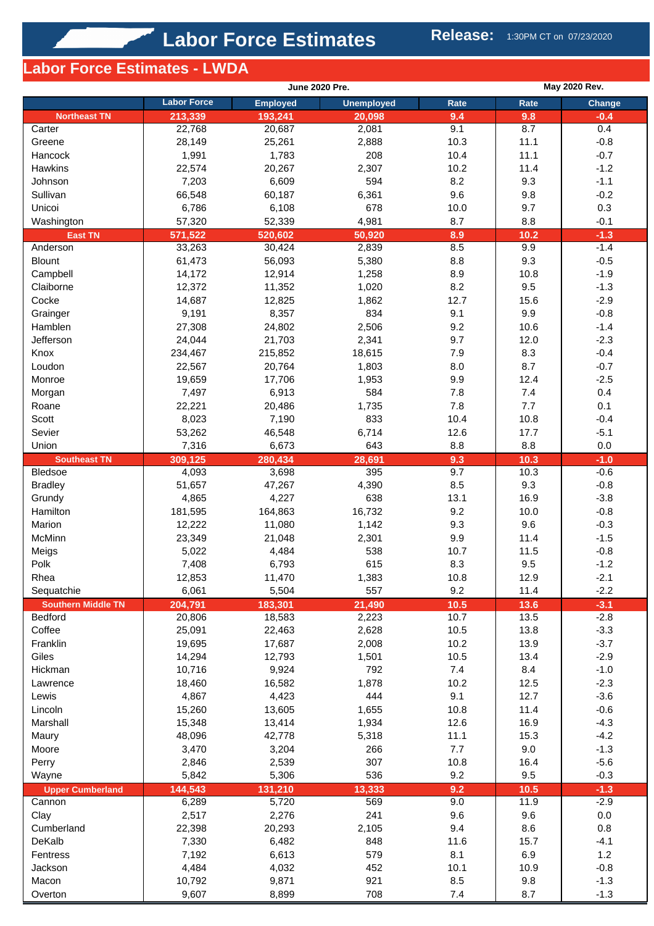# **Labor Force Estimates - LWDA**

|                                       |                    | <b>June 2020 Pre.</b> |                   | <b>May 2020 Rev.</b> |              |                  |  |
|---------------------------------------|--------------------|-----------------------|-------------------|----------------------|--------------|------------------|--|
|                                       | <b>Labor Force</b> | <b>Employed</b>       | <b>Unemployed</b> | Rate                 | Rate         | Change           |  |
| <b>Northeast TN</b>                   | 213,339            | 193,241               | 20,098            | 9.4                  | 9.8          | $-0.4$           |  |
| Carter                                | 22,768             | 20,687                | 2,081             | 9.1                  | 8.7          | 0.4              |  |
| Greene                                | 28,149             | 25,261                | 2,888             | 10.3                 | 11.1         | $-0.8$           |  |
| Hancock                               | 1,991              | 1,783                 | 208               | 10.4                 | 11.1         | $-0.7$           |  |
| Hawkins                               | 22,574             | 20,267                | 2,307             | 10.2                 | 11.4         | $-1.2$           |  |
| Johnson                               | 7,203              | 6,609                 | 594               | 8.2                  | 9.3          | $-1.1$           |  |
| Sullivan                              | 66,548             | 60,187                | 6,361             | 9.6                  | 9.8          | $-0.2$           |  |
| Unicoi                                | 6,786              | 6,108                 | 678               | 10.0                 | 9.7          | 0.3              |  |
| Washington                            | 57,320             | 52,339                | 4,981             | 8.7                  | 8.8          | $-0.1$           |  |
| <b>East TN</b>                        | 571,522            | 520,602               | 50,920            | 8.9                  | 10.2         | $-1.3$           |  |
| Anderson                              | 33,263             | 30,424                | 2,839             | 8.5                  | 9.9          | $-1.4$           |  |
| <b>Blount</b>                         | 61,473             | 56,093                | 5,380             | 8.8                  | 9.3          | $-0.5$           |  |
| Campbell                              | 14,172             | 12,914                | 1,258             | 8.9                  | 10.8         | $-1.9$           |  |
| Claiborne                             | 12,372             | 11,352                | 1,020             | 8.2                  | 9.5          | $-1.3$           |  |
| Cocke                                 | 14,687             | 12,825                | 1,862             | 12.7                 | 15.6         | $-2.9$           |  |
| Grainger                              | 9,191              | 8,357                 | 834               | 9.1                  | 9.9          | $-0.8$           |  |
| Hamblen                               | 27,308             | 24,802                | 2,506             | 9.2                  | 10.6         | $-1.4$           |  |
| Jefferson                             | 24,044             | 21,703                | 2,341             | 9.7                  | 12.0         | $-2.3$           |  |
| Knox                                  | 234,467            | 215,852               | 18,615            | 7.9                  | 8.3          | $-0.4$           |  |
| Loudon                                | 22,567             | 20,764                | 1,803             | 8.0                  | 8.7          | $-0.7$           |  |
| Monroe                                | 19,659             | 17,706                | 1,953             | 9.9                  | 12.4         | $-2.5$           |  |
| Morgan                                | 7,497              | 6,913                 | 584               | 7.8                  | 7.4          | 0.4              |  |
| Roane                                 | 22,221             | 20,486                | 1,735             | 7.8                  | 7.7          | 0.1              |  |
| Scott                                 | 8,023              | 7,190                 | 833               | 10.4                 | 10.8         | $-0.4$           |  |
| Sevier                                | 53,262             | 46,548                | 6,714             | 12.6                 | 17.7         | $-5.1$           |  |
| Union                                 | 7,316              | 6,673                 | 643               | 8.8                  | 8.8          | 0.0              |  |
| <b>Southeast TN</b><br><b>Bledsoe</b> | 309,125            | 280,434<br>3,698      | 28,691<br>395     | 9.3<br>9.7           | 10.3<br>10.3 | $-1.0$<br>$-0.6$ |  |
| <b>Bradley</b>                        | 4,093<br>51,657    | 47,267                | 4,390             | 8.5                  | 9.3          | $-0.8$           |  |
| Grundy                                | 4,865              | 4,227                 | 638               | 13.1                 | 16.9         | $-3.8$           |  |
| Hamilton                              | 181,595            | 164,863               | 16,732            | 9.2                  | 10.0         | $-0.8$           |  |
| Marion                                | 12,222             | 11,080                | 1,142             | 9.3                  | 9.6          | $-0.3$           |  |
| McMinn                                | 23,349             | 21,048                | 2,301             | 9.9                  | 11.4         | $-1.5$           |  |
| Meigs                                 | 5,022              | 4,484                 | 538               | 10.7                 | 11.5         | $-0.8$           |  |
| Polk                                  | 7,408              | 6,793                 | 615               | 8.3                  | 9.5          | $-1.2$           |  |
| Rhea                                  | 12,853             | 11,470                | 1,383             | 10.8                 | 12.9         | $-2.1$           |  |
| Sequatchie                            | 6,061              | 5,504                 | 557               | 9.2                  | 11.4         | $-2.2$           |  |
| <b>Southern Middle TN</b>             | 204,791            | 183,301               | 21,490            | 10.5                 | 13.6         | $-3.1$           |  |
| <b>Bedford</b>                        | 20,806             | 18,583                | 2,223             | 10.7                 | 13.5         | $-2.8$           |  |
| Coffee                                | 25,091             | 22,463                | 2,628             | 10.5                 | 13.8         | $-3.3$           |  |
| Franklin                              | 19,695             | 17,687                | 2,008             | 10.2                 | 13.9         | $-3.7$           |  |
| Giles                                 | 14,294             | 12,793                | 1,501             | 10.5                 | 13.4         | $-2.9$           |  |
| Hickman                               | 10,716             | 9,924                 | 792               | 7.4                  | 8.4          | $-1.0$           |  |
| Lawrence                              | 18,460             | 16,582                | 1,878             | 10.2                 | 12.5         | $-2.3$           |  |
| Lewis                                 | 4,867              | 4,423                 | 444               | 9.1                  | 12.7         | $-3.6$           |  |
| Lincoln                               | 15,260             | 13,605                | 1,655             | 10.8                 | 11.4         | $-0.6$           |  |
| Marshall                              | 15,348             | 13,414                | 1,934             | 12.6                 | 16.9         | $-4.3$           |  |
| Maury                                 | 48,096             | 42,778                | 5,318             | 11.1                 | 15.3         | $-4.2$           |  |
| Moore                                 | 3,470              | 3,204                 | 266               | 7.7                  | 9.0          | $-1.3$           |  |
| Perry                                 | 2,846              | 2,539                 | 307               | 10.8                 | 16.4         | $-5.6$           |  |
| Wayne                                 | 5,842              | 5,306                 | 536               | 9.2                  | 9.5          | $-0.3$           |  |
| <b>Upper Cumberland</b>               | 144,543            | 131,210               | 13,333            | 9.2                  | 10.5         | $-1.3$           |  |
| Cannon                                | 6,289              | 5,720                 | 569               | 9.0                  | 11.9         | $-2.9$           |  |
| Clay                                  | 2,517              | 2,276                 | 241               | 9.6                  | 9.6          | 0.0              |  |
| Cumberland                            | 22,398             | 20,293                | 2,105             | 9.4                  | 8.6          | 0.8              |  |
| DeKalb                                | 7,330              | 6,482                 | 848               | 11.6                 | 15.7         | $-4.1$           |  |
| Fentress                              | 7,192              | 6,613                 | 579               | 8.1                  | 6.9          | $1.2$            |  |
| Jackson                               | 4,484              | 4,032                 | 452               | 10.1                 | 10.9         | $-0.8$           |  |
| Macon                                 | 10,792             | 9,871                 | 921               | 8.5                  | 9.8          | $-1.3$           |  |
| Overton                               | 9,607              | 8,899                 | 708               | 7.4                  | 8.7          | $-1.3$           |  |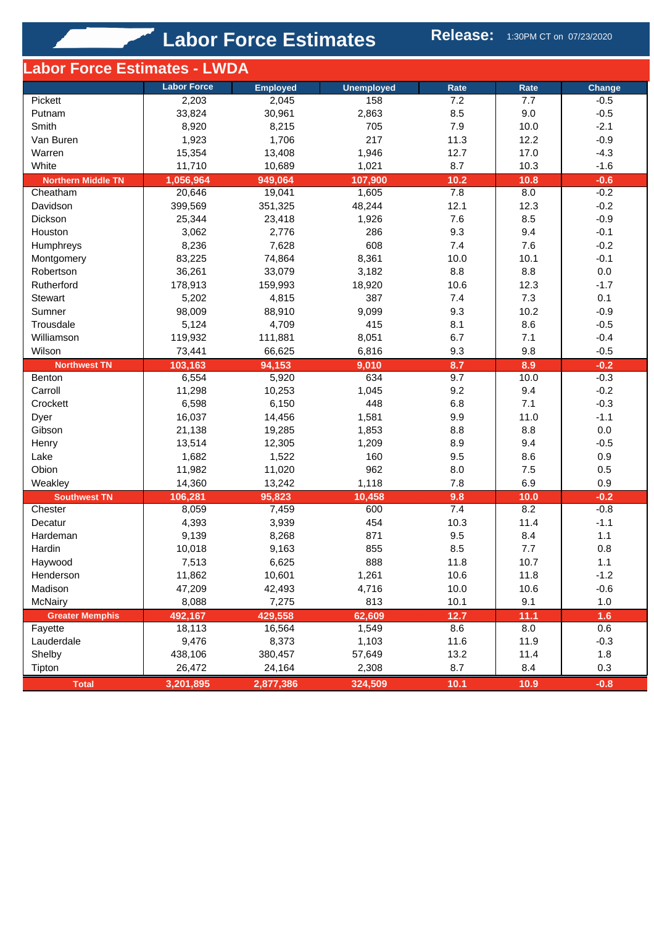**Labor Force Estimates Release:** 1:30PM CT on 07/23/2020

| Labor Force Estimates - LWDA |                    |                 |                   |      |      |         |
|------------------------------|--------------------|-----------------|-------------------|------|------|---------|
|                              | <b>Labor Force</b> | <b>Employed</b> | <b>Unemployed</b> | Rate | Rate | Change  |
| Pickett                      | 2,203              | 2,045           | 158               | 7.2  | 7.7  | $-0.5$  |
| Putnam                       | 33,824             | 30,961          | 2,863             | 8.5  | 9.0  | $-0.5$  |
| Smith                        | 8,920              | 8,215           | 705               | 7.9  | 10.0 | $-2.1$  |
| Van Buren                    | 1,923              | 1,706           | 217               | 11.3 | 12.2 | $-0.9$  |
| Warren                       | 15,354             | 13,408          | 1,946             | 12.7 | 17.0 | $-4.3$  |
| White                        | 11,710             | 10,689          | 1,021             | 8.7  | 10.3 | $-1.6$  |
| <b>Northern Middle TN</b>    | 1,056,964          | 949,064         | 107,900           | 10.2 | 10.8 | $-0.6$  |
| Cheatham                     | 20,646             | 19,041          | 1,605             | 7.8  | 8.0  | $-0.2$  |
| Davidson                     | 399,569            | 351,325         | 48,244            | 12.1 | 12.3 | $-0.2$  |
| Dickson                      | 25,344             | 23,418          | 1,926             | 7.6  | 8.5  | $-0.9$  |
| Houston                      | 3,062              | 2,776           | 286               | 9.3  | 9.4  | $-0.1$  |
| Humphreys                    | 8,236              | 7,628           | 608               | 7.4  | 7.6  | $-0.2$  |
| Montgomery                   | 83,225             | 74,864          | 8,361             | 10.0 | 10.1 | $-0.1$  |
| Robertson                    | 36,261             | 33,079          | 3,182             | 8.8  | 8.8  | $0.0\,$ |
| Rutherford                   | 178,913            | 159,993         | 18,920            | 10.6 | 12.3 | $-1.7$  |
| <b>Stewart</b>               | 5,202              | 4,815           | 387               | 7.4  | 7.3  | 0.1     |
| Sumner                       | 98,009             | 88,910          | 9,099             | 9.3  | 10.2 | $-0.9$  |
| Trousdale                    | 5,124              | 4,709           | 415               | 8.1  | 8.6  | $-0.5$  |
| Williamson                   | 119,932            | 111,881         | 8,051             | 6.7  | 7.1  | $-0.4$  |
| Wilson                       | 73,441             | 66,625          | 6,816             | 9.3  | 9.8  | $-0.5$  |
| <b>Northwest TN</b>          | 103,163            | 94,153          | 9,010             | 8.7  | 8.9  | $-0.2$  |
| Benton                       | 6,554              | 5,920           | 634               | 9.7  | 10.0 | $-0.3$  |
| Carroll                      | 11,298             | 10,253          | 1,045             | 9.2  | 9.4  | $-0.2$  |
| Crockett                     | 6,598              | 6,150           | 448               | 6.8  | 7.1  | $-0.3$  |
| Dyer                         | 16,037             | 14,456          | 1,581             | 9.9  | 11.0 | $-1.1$  |
| Gibson                       | 21,138             | 19,285          | 1,853             | 8.8  | 8.8  | $0.0\,$ |
| Henry                        | 13,514             | 12,305          | 1,209             | 8.9  | 9.4  | $-0.5$  |
| Lake                         | 1,682              | 1,522           | 160               | 9.5  | 8.6  | 0.9     |
| Obion                        | 11,982             | 11,020          | 962               | 8.0  | 7.5  | 0.5     |
| Weakley                      | 14,360             | 13,242          | 1,118             | 7.8  | 6.9  | 0.9     |
| <b>Southwest TN</b>          | 106,281            | 95,823          | 10,458            | 9.8  | 10.0 | $-0.2$  |
| Chester                      | 8,059              | 7,459           | 600               | 7.4  | 8.2  | $-0.8$  |
| Decatur                      | 4,393              | 3,939           | 454               | 10.3 | 11.4 | $-1.1$  |
| Hardeman                     | 9,139              | 8,268           | 871               | 9.5  | 8.4  | 1.1     |
| Hardin                       | 10,018             | 9,163           | 855               | 8.5  | 7.7  | 0.8     |
| Haywood                      | 7,513              | 6,625           | 888               | 11.8 | 10.7 | 1.1     |
| Henderson                    | 11,862             | 10,601          | 1,261             | 10.6 | 11.8 | $-1.2$  |
| Madison                      | 47,209             | 42,493          | 4,716             | 10.0 | 10.6 | $-0.6$  |
| McNairy                      | 8,088              | 7,275           | 813               | 10.1 | 9.1  | 1.0     |
| <b>Greater Memphis</b>       | 492,167            | 429,558         | 62,609            | 12.7 | 11.1 | 1.6     |
| Fayette                      | 18,113             | 16,564          | 1,549             | 8.6  | 8.0  | 0.6     |
| Lauderdale                   | 9,476              | 8,373           | 1,103             | 11.6 | 11.9 | $-0.3$  |
| Shelby                       | 438,106            | 380,457         | 57,649            | 13.2 | 11.4 | 1.8     |
| Tipton                       | 26,472             | 24,164          | 2,308             | 8.7  | 8.4  | 0.3     |
| <b>Total</b>                 | 3,201,895          | 2,877,386       | 324,509           | 10.1 | 10.9 | $-0.8$  |